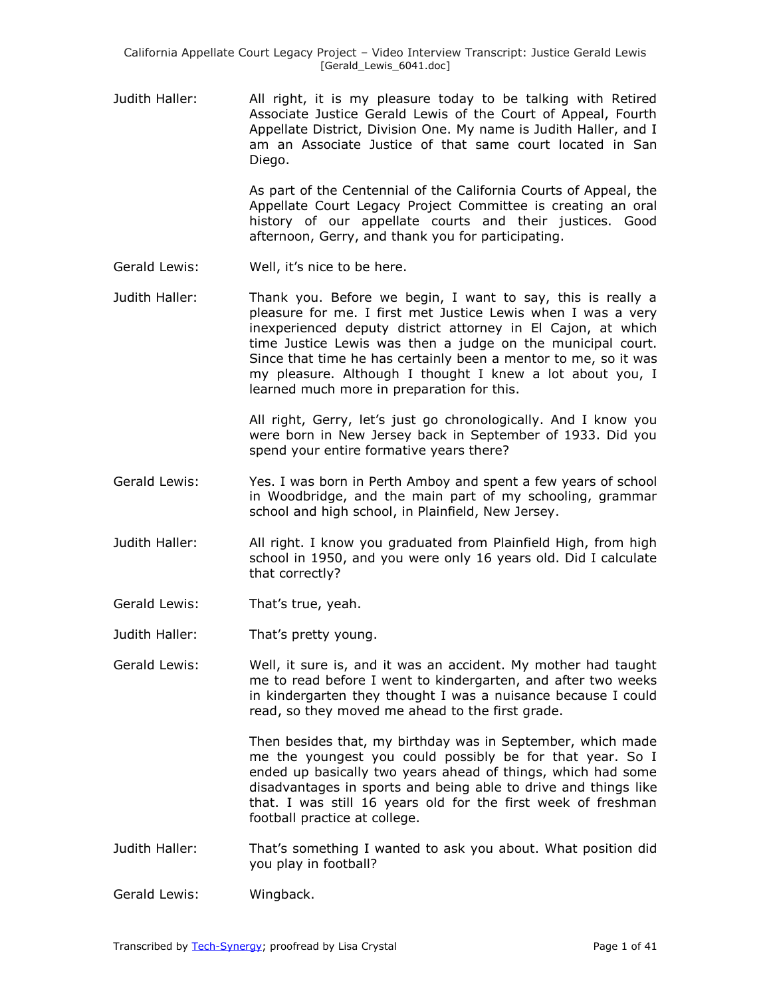Judith Haller: All right, it is my pleasure today to be talking with Retired Associate Justice Gerald Lewis of the Court of Appeal, Fourth Appellate District, Division One. My name is Judith Haller, and I am an Associate Justice of that same court located in San Diego.

> As part of the Centennial of the California Courts of Appeal, the Appellate Court Legacy Project Committee is creating an oral history of our appellate courts and their justices. Good afternoon, Gerry, and thank you for participating.

- Gerald Lewis: Well, it's nice to be here.
- Judith Haller: Thank you. Before we begin, I want to say, this is really a pleasure for me. I first met Justice Lewis when I was a very inexperienced deputy district attorney in El Cajon, at which time Justice Lewis was then a judge on the municipal court. Since that time he has certainly been a mentor to me, so it was my pleasure. Although I thought I knew a lot about you, I learned much more in preparation for this.

All right, Gerry, let's just go chronologically. And I know you were born in New Jersey back in September of 1933. Did you spend your entire formative years there?

- Gerald Lewis: Yes. I was born in Perth Amboy and spent a few years of school in Woodbridge, and the main part of my schooling, grammar school and high school, in Plainfield, New Jersey.
- Judith Haller: All right. I know you graduated from Plainfield High, from high school in 1950, and you were only 16 years old. Did I calculate that correctly?
- Gerald Lewis: That's true, yeah.
- Judith Haller: That's pretty young.

Gerald Lewis: Well, it sure is, and it was an accident. My mother had taught me to read before I went to kindergarten, and after two weeks in kindergarten they thought I was a nuisance because I could read, so they moved me ahead to the first grade.

> Then besides that, my birthday was in September, which made me the youngest you could possibly be for that year. So I ended up basically two years ahead of things, which had some disadvantages in sports and being able to drive and things like that. I was still 16 years old for the first week of freshman football practice at college.

Judith Haller: That's something I wanted to ask you about. What position did you play in football?

Gerald Lewis: Wingback.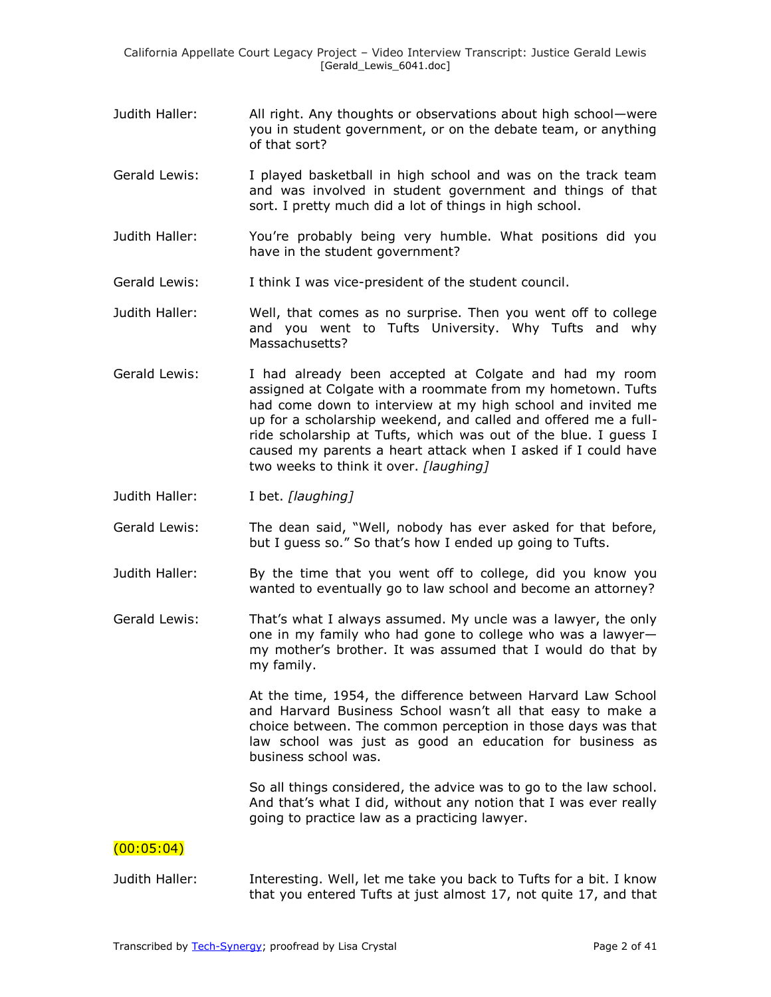- Judith Haller: All right. Any thoughts or observations about high school—were you in student government, or on the debate team, or anything of that sort?
- Gerald Lewis: I played basketball in high school and was on the track team and was involved in student government and things of that sort. I pretty much did a lot of things in high school.
- Judith Haller: You're probably being very humble. What positions did you have in the student government?
- Gerald Lewis: I think I was vice-president of the student council.
- Judith Haller: Well, that comes as no surprise. Then you went off to college and you went to Tufts University. Why Tufts and why Massachusetts?
- Gerald Lewis: I had already been accepted at Colgate and had my room assigned at Colgate with a roommate from my hometown. Tufts had come down to interview at my high school and invited me up for a scholarship weekend, and called and offered me a fullride scholarship at Tufts, which was out of the blue. I guess I caused my parents a heart attack when I asked if I could have two weeks to think it over. *[laughing]*
- Judith Haller: I bet. *[laughing]*
- Gerald Lewis: The dean said, "Well, nobody has ever asked for that before, but I guess so." So that's how I ended up going to Tufts.
- Judith Haller: By the time that you went off to college, did you know you wanted to eventually go to law school and become an attorney?
- Gerald Lewis: That's what I always assumed. My uncle was a lawyer, the only one in my family who had gone to college who was a lawyer my mother's brother. It was assumed that I would do that by my family.

At the time, 1954, the difference between Harvard Law School and Harvard Business School wasn't all that easy to make a choice between. The common perception in those days was that law school was just as good an education for business as business school was.

So all things considered, the advice was to go to the law school. And that's what I did, without any notion that I was ever really going to practice law as a practicing lawyer.

## $(00:05:04)$

Judith Haller: Interesting. Well, let me take you back to Tufts for a bit. I know that you entered Tufts at just almost 17, not quite 17, and that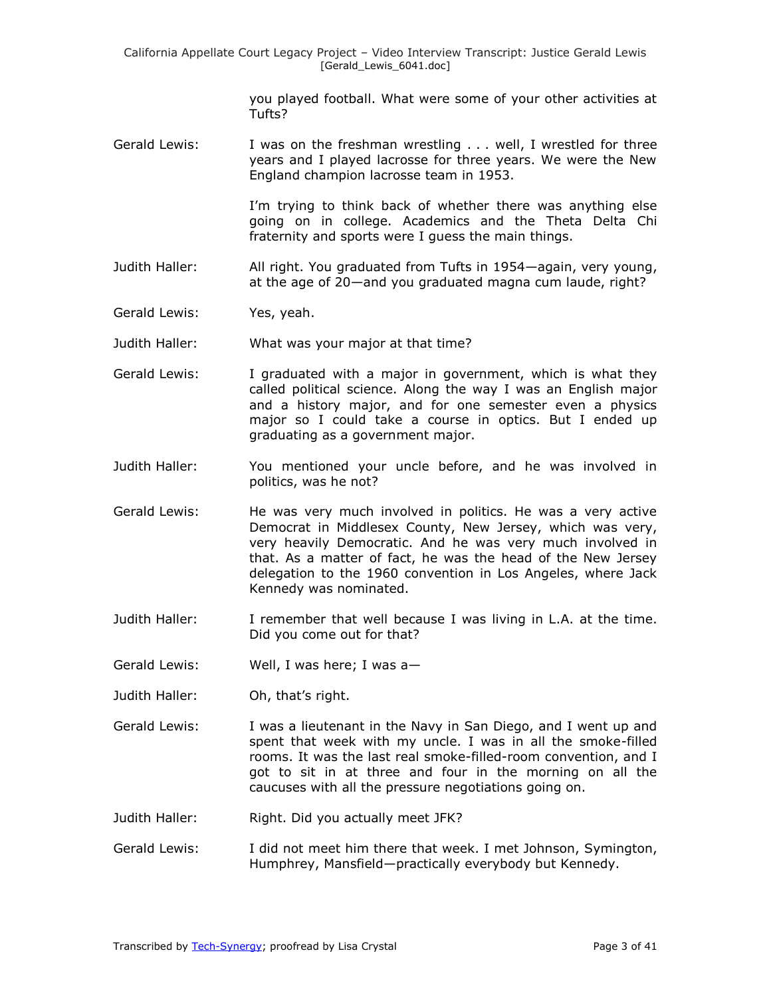you played football. What were some of your other activities at Tufts?

Gerald Lewis: I was on the freshman wrestling . . . well, I wrestled for three years and I played lacrosse for three years. We were the New England champion lacrosse team in 1953.

> I'm trying to think back of whether there was anything else going on in college. Academics and the Theta Delta Chi fraternity and sports were I guess the main things.

- Judith Haller: All right. You graduated from Tufts in 1954—again, very young, at the age of 20—and you graduated magna cum laude, right?
- Gerald Lewis: Yes, yeah.
- Judith Haller: What was your major at that time?
- Gerald Lewis: I graduated with a major in government, which is what they called political science. Along the way I was an English major and a history major, and for one semester even a physics major so I could take a course in optics. But I ended up graduating as a government major.
- Judith Haller: You mentioned your uncle before, and he was involved in politics, was he not?
- Gerald Lewis: He was very much involved in politics. He was a very active Democrat in Middlesex County, New Jersey, which was very, very heavily Democratic. And he was very much involved in that. As a matter of fact, he was the head of the New Jersey delegation to the 1960 convention in Los Angeles, where Jack Kennedy was nominated.
- Judith Haller: I remember that well because I was living in L.A. at the time. Did you come out for that?
- Gerald Lewis: Well, I was here; I was a—
- Judith Haller: Oh, that's right.
- Gerald Lewis: I was a lieutenant in the Navy in San Diego, and I went up and spent that week with my uncle. I was in all the smoke-filled rooms. It was the last real smoke-filled-room convention, and I got to sit in at three and four in the morning on all the caucuses with all the pressure negotiations going on.
- Judith Haller: Right. Did you actually meet JFK?
- Gerald Lewis: I did not meet him there that week. I met Johnson, Symington, Humphrey, Mansfield—practically everybody but Kennedy.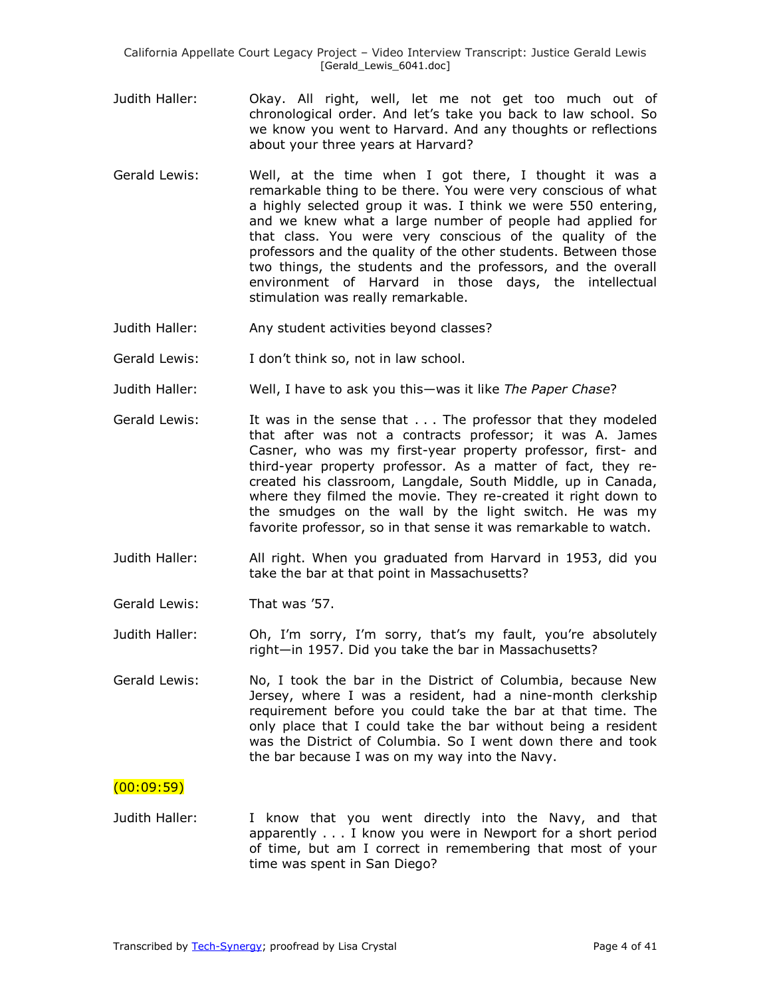California Appellate Court Legacy Project – Video Interview Transcript: Justice Gerald Lewis [Gerald\_Lewis\_6041.doc]

- Judith Haller: Okay. All right, well, let me not get too much out of chronological order. And let's take you back to law school. So we know you went to Harvard. And any thoughts or reflections about your three years at Harvard?
- Gerald Lewis: Well, at the time when I got there, I thought it was a remarkable thing to be there. You were very conscious of what a highly selected group it was. I think we were 550 entering, and we knew what a large number of people had applied for that class. You were very conscious of the quality of the professors and the quality of the other students. Between those two things, the students and the professors, and the overall environment of Harvard in those days, the intellectual stimulation was really remarkable.
- Judith Haller: Any student activities beyond classes?
- Gerald Lewis: I don't think so, not in law school.
- Judith Haller: Well, I have to ask you this—was it like *The Paper Chase*?
- Gerald Lewis: It was in the sense that . . . The professor that they modeled that after was not a contracts professor; it was A. James Casner, who was my first-year property professor, first- and third-year property professor. As a matter of fact, they recreated his classroom, Langdale, South Middle, up in Canada, where they filmed the movie. They re-created it right down to the smudges on the wall by the light switch. He was my favorite professor, so in that sense it was remarkable to watch.
- Judith Haller: All right. When you graduated from Harvard in 1953, did you take the bar at that point in Massachusetts?
- Gerald Lewis: That was '57.

Judith Haller: Oh, I'm sorry, I'm sorry, that's my fault, you're absolutely right—in 1957. Did you take the bar in Massachusetts?

Gerald Lewis: No, I took the bar in the District of Columbia, because New Jersey, where I was a resident, had a nine-month clerkship requirement before you could take the bar at that time. The only place that I could take the bar without being a resident was the District of Columbia. So I went down there and took the bar because I was on my way into the Navy.

#### $(00:09:59)$

Judith Haller: I know that you went directly into the Navy, and that apparently . . . I know you were in Newport for a short period of time, but am I correct in remembering that most of your time was spent in San Diego?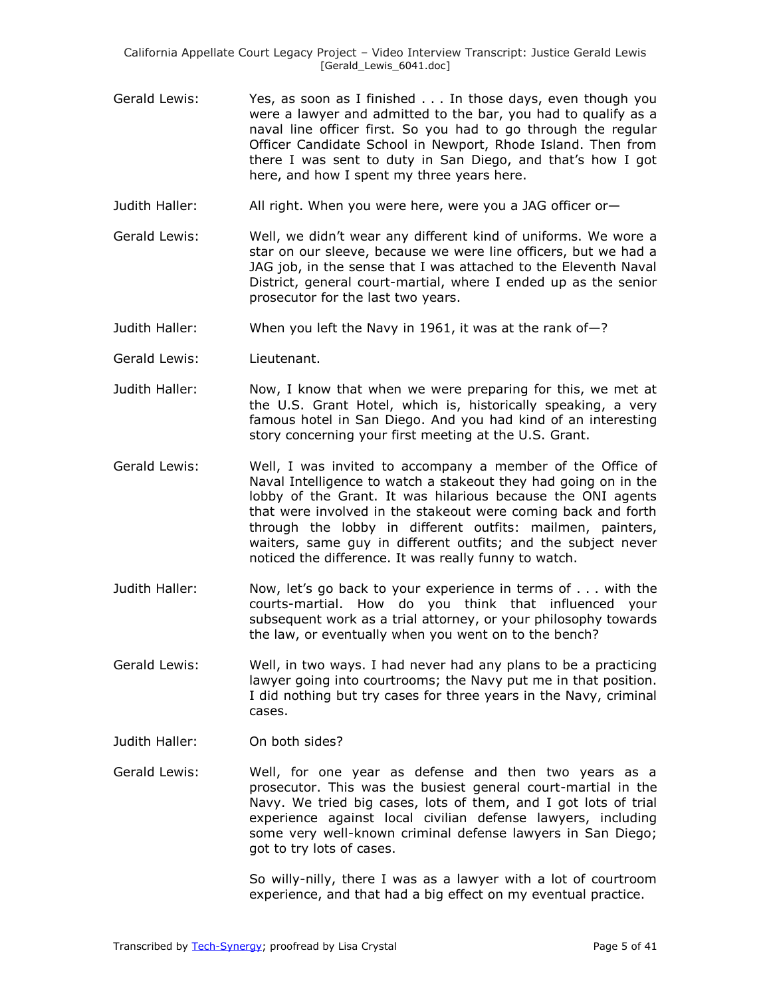California Appellate Court Legacy Project – Video Interview Transcript: Justice Gerald Lewis [Gerald Lewis 6041.doc]

- Gerald Lewis: Yes, as soon as I finished . . . In those days, even though you were a lawyer and admitted to the bar, you had to qualify as a naval line officer first. So you had to go through the regular Officer Candidate School in Newport, Rhode Island. Then from there I was sent to duty in San Diego, and that's how I got here, and how I spent my three years here.
- Judith Haller: All right. When you were here, were you a JAG officer or—
- Gerald Lewis: Well, we didn't wear any different kind of uniforms. We wore a star on our sleeve, because we were line officers, but we had a JAG job, in the sense that I was attached to the Eleventh Naval District, general court-martial, where I ended up as the senior prosecutor for the last two years.
- Judith Haller: When you left the Navy in 1961, it was at the rank of—?
- Gerald Lewis: Lieutenant.
- Judith Haller: Now, I know that when we were preparing for this, we met at the U.S. Grant Hotel, which is, historically speaking, a very famous hotel in San Diego. And you had kind of an interesting story concerning your first meeting at the U.S. Grant.
- Gerald Lewis: Well, I was invited to accompany a member of the Office of Naval Intelligence to watch a stakeout they had going on in the lobby of the Grant. It was hilarious because the ONI agents that were involved in the stakeout were coming back and forth through the lobby in different outfits: mailmen, painters, waiters, same guy in different outfits; and the subject never noticed the difference. It was really funny to watch.
- Judith Haller: Now, let's go back to your experience in terms of . . . with the courts-martial. How do you think that influenced your subsequent work as a trial attorney, or your philosophy towards the law, or eventually when you went on to the bench?
- Gerald Lewis: Well, in two ways. I had never had any plans to be a practicing lawyer going into courtrooms; the Navy put me in that position. I did nothing but try cases for three years in the Navy, criminal cases.
- Judith Haller: On both sides?
- Gerald Lewis: Well, for one year as defense and then two years as a prosecutor. This was the busiest general court-martial in the Navy. We tried big cases, lots of them, and I got lots of trial experience against local civilian defense lawyers, including some very well-known criminal defense lawyers in San Diego; got to try lots of cases.

So willy-nilly, there I was as a lawyer with a lot of courtroom experience, and that had a big effect on my eventual practice.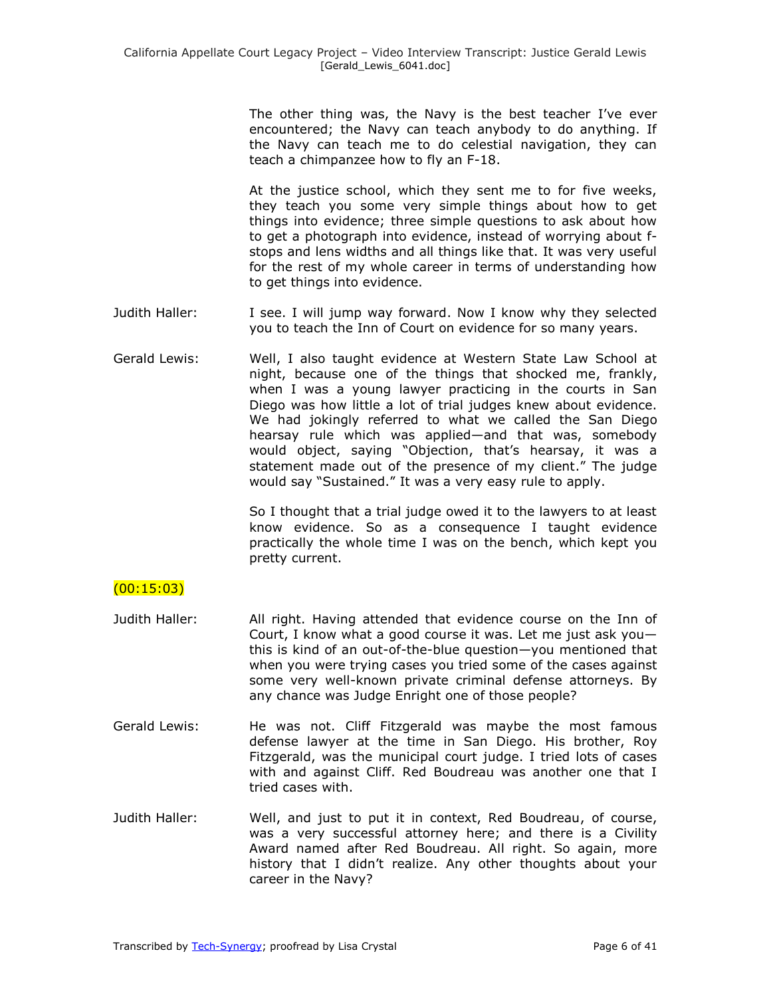The other thing was, the Navy is the best teacher I've ever encountered; the Navy can teach anybody to do anything. If the Navy can teach me to do celestial navigation, they can teach a chimpanzee how to fly an F-18.

At the justice school, which they sent me to for five weeks, they teach you some very simple things about how to get things into evidence; three simple questions to ask about how to get a photograph into evidence, instead of worrying about fstops and lens widths and all things like that. It was very useful for the rest of my whole career in terms of understanding how to get things into evidence.

- Judith Haller: I see. I will jump way forward. Now I know why they selected you to teach the Inn of Court on evidence for so many years.
- Gerald Lewis: Well, I also taught evidence at Western State Law School at night, because one of the things that shocked me, frankly, when I was a young lawyer practicing in the courts in San Diego was how little a lot of trial judges knew about evidence. We had jokingly referred to what we called the San Diego hearsay rule which was applied—and that was, somebody would object, saying "Objection, that's hearsay, it was a statement made out of the presence of my client." The judge would say "Sustained." It was a very easy rule to apply.

So I thought that a trial judge owed it to the lawyers to at least know evidence. So as a consequence I taught evidence practically the whole time I was on the bench, which kept you pretty current.

## $(00:15:03)$

- Judith Haller: All right. Having attended that evidence course on the Inn of Court, I know what a good course it was. Let me just ask you this is kind of an out-of-the-blue question—you mentioned that when you were trying cases you tried some of the cases against some very well-known private criminal defense attorneys. By any chance was Judge Enright one of those people?
- Gerald Lewis: He was not. Cliff Fitzgerald was maybe the most famous defense lawyer at the time in San Diego. His brother, Roy Fitzgerald, was the municipal court judge. I tried lots of cases with and against Cliff. Red Boudreau was another one that I tried cases with.
- Judith Haller: Well, and just to put it in context, Red Boudreau, of course, was a very successful attorney here; and there is a Civility Award named after Red Boudreau. All right. So again, more history that I didn't realize. Any other thoughts about your career in the Navy?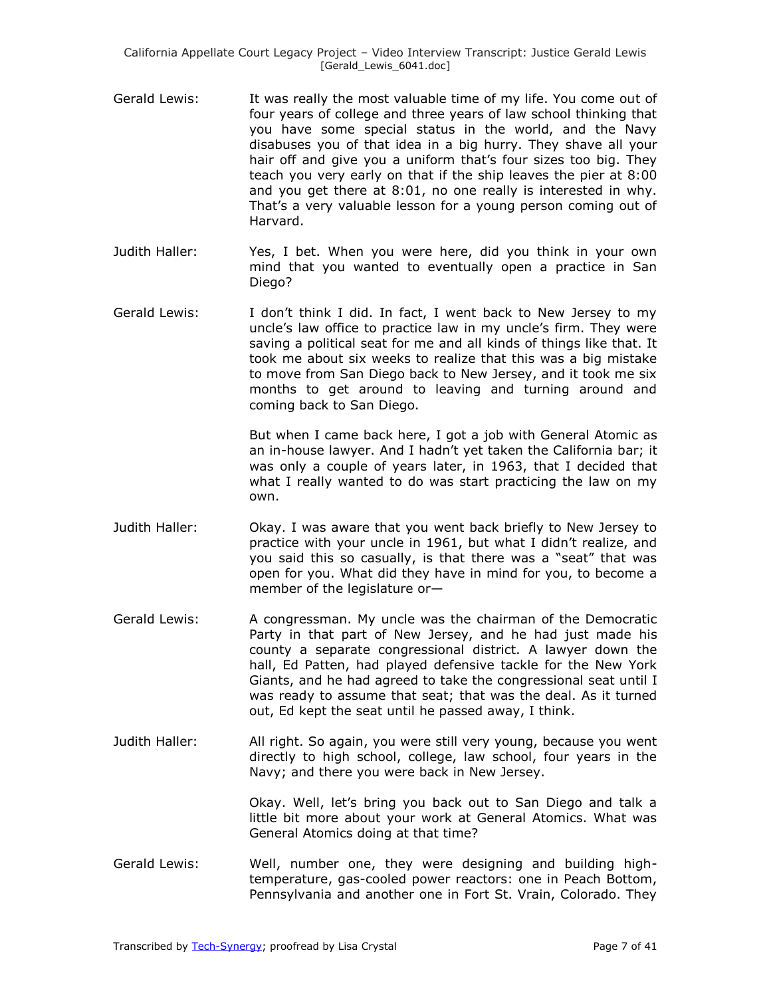- Gerald Lewis: It was really the most valuable time of my life. You come out of four years of college and three years of law school thinking that you have some special status in the world, and the Navy disabuses you of that idea in a big hurry. They shave all your hair off and give you a uniform that's four sizes too big. They teach you very early on that if the ship leaves the pier at 8:00 and you get there at 8:01, no one really is interested in why. That's a very valuable lesson for a young person coming out of Harvard.
- Judith Haller: Yes, I bet. When you were here, did you think in your own mind that you wanted to eventually open a practice in San Diego?
- Gerald Lewis: I don't think I did. In fact, I went back to New Jersey to my uncle's law office to practice law in my uncle's firm. They were saving a political seat for me and all kinds of things like that. It took me about six weeks to realize that this was a big mistake to move from San Diego back to New Jersey, and it took me six months to get around to leaving and turning around and coming back to San Diego.

But when I came back here, I got a job with General Atomic as an in-house lawyer. And I hadn't yet taken the California bar; it was only a couple of years later, in 1963, that I decided that what I really wanted to do was start practicing the law on my own.

- Judith Haller: Okay. I was aware that you went back briefly to New Jersey to practice with your uncle in 1961, but what I didn't realize, and you said this so casually, is that there was a "seat" that was open for you. What did they have in mind for you, to become a member of the legislature or—
- Gerald Lewis: A congressman. My uncle was the chairman of the Democratic Party in that part of New Jersey, and he had just made his county a separate congressional district. A lawyer down the hall, Ed Patten, had played defensive tackle for the New York Giants, and he had agreed to take the congressional seat until I was ready to assume that seat; that was the deal. As it turned out, Ed kept the seat until he passed away, I think.
- Judith Haller: All right. So again, you were still very young, because you went directly to high school, college, law school, four years in the Navy; and there you were back in New Jersey.

Okay. Well, let's bring you back out to San Diego and talk a little bit more about your work at General Atomics. What was General Atomics doing at that time?

Gerald Lewis: Well, number one, they were designing and building hightemperature, gas-cooled power reactors: one in Peach Bottom, Pennsylvania and another one in Fort St. Vrain, Colorado. They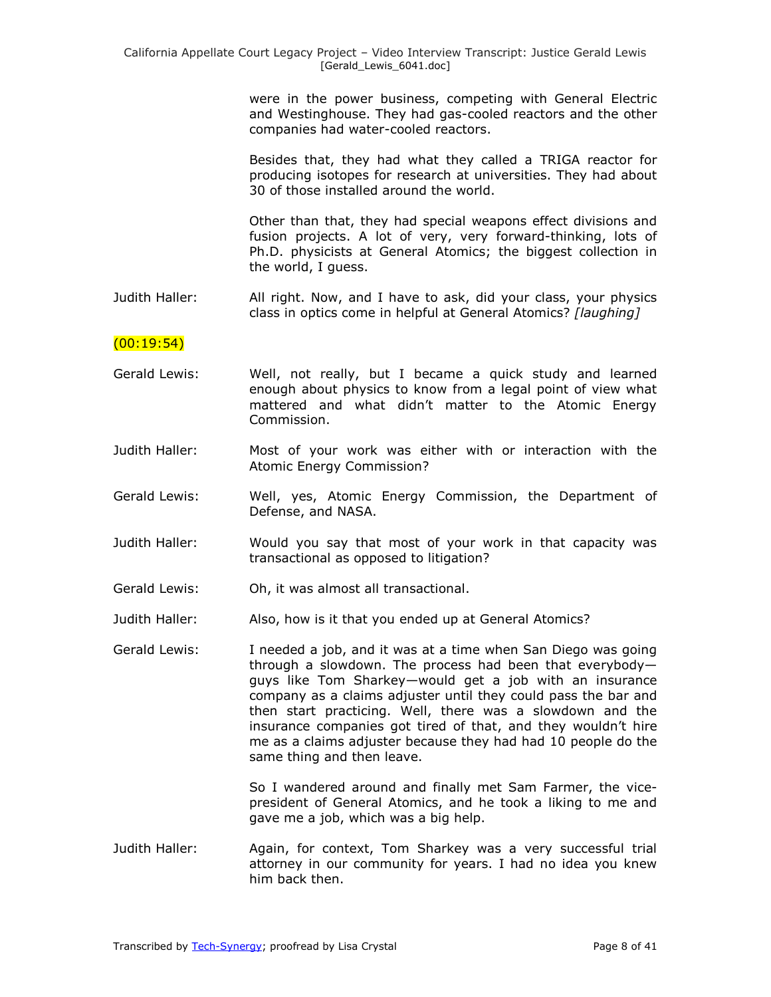were in the power business, competing with General Electric and Westinghouse. They had gas-cooled reactors and the other companies had water-cooled reactors.

Besides that, they had what they called a TRIGA reactor for producing isotopes for research at universities. They had about 30 of those installed around the world.

Other than that, they had special weapons effect divisions and fusion projects. A lot of very, very forward-thinking, lots of Ph.D. physicists at General Atomics; the biggest collection in the world, I guess.

Judith Haller: All right. Now, and I have to ask, did your class, your physics class in optics come in helpful at General Atomics? *[laughing]*

## (00:19:54)

- Gerald Lewis: Well, not really, but I became a quick study and learned enough about physics to know from a legal point of view what mattered and what didn't matter to the Atomic Energy Commission.
- Judith Haller: Most of your work was either with or interaction with the Atomic Energy Commission?
- Gerald Lewis: Well, yes, Atomic Energy Commission, the Department of Defense, and NASA.
- Judith Haller: Would you say that most of your work in that capacity was transactional as opposed to litigation?
- Gerald Lewis: Oh, it was almost all transactional.
- Judith Haller: Also, how is it that you ended up at General Atomics?
- Gerald Lewis: I needed a job, and it was at a time when San Diego was going through a slowdown. The process had been that everybody guys like Tom Sharkey—would get a job with an insurance company as a claims adjuster until they could pass the bar and then start practicing. Well, there was a slowdown and the insurance companies got tired of that, and they wouldn't hire me as a claims adjuster because they had had 10 people do the same thing and then leave.

So I wandered around and finally met Sam Farmer, the vicepresident of General Atomics, and he took a liking to me and gave me a job, which was a big help.

Judith Haller: Again, for context, Tom Sharkey was a very successful trial attorney in our community for years. I had no idea you knew him back then.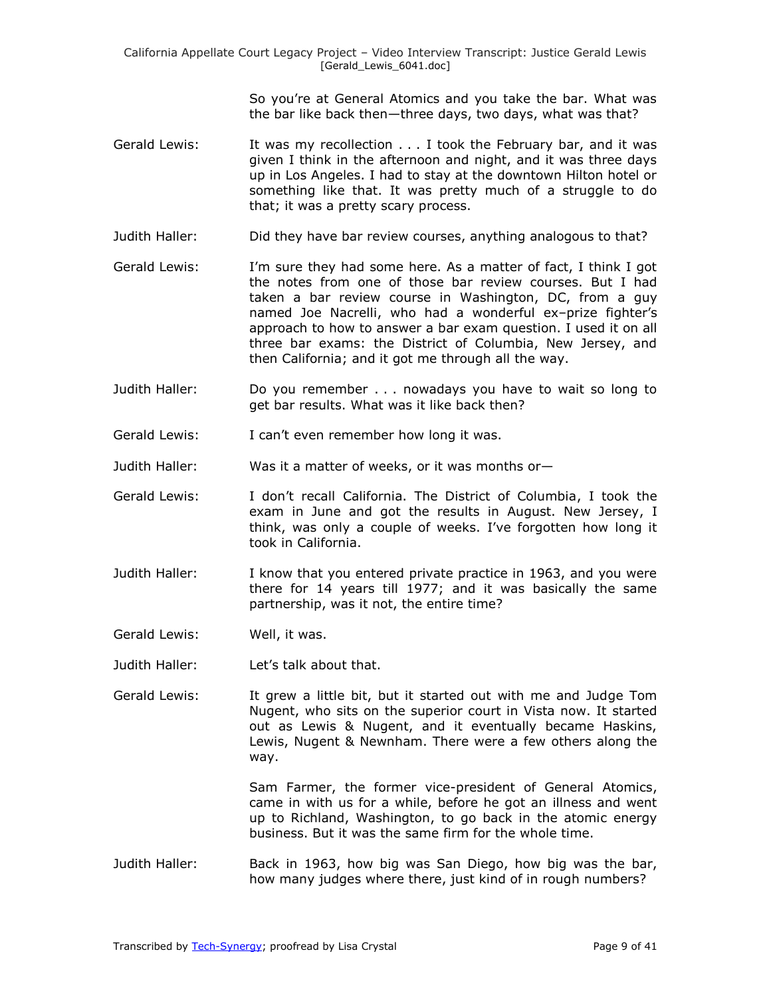So you're at General Atomics and you take the bar. What was the bar like back then—three days, two days, what was that?

- Gerald Lewis: It was my recollection . . . I took the February bar, and it was given I think in the afternoon and night, and it was three days up in Los Angeles. I had to stay at the downtown Hilton hotel or something like that. It was pretty much of a struggle to do that; it was a pretty scary process.
- Judith Haller: Did they have bar review courses, anything analogous to that?
- Gerald Lewis: I'm sure they had some here. As a matter of fact, I think I got the notes from one of those bar review courses. But I had taken a bar review course in Washington, DC, from a guy named Joe Nacrelli, who had a wonderful ex–prize fighter's approach to how to answer a bar exam question. I used it on all three bar exams: the District of Columbia, New Jersey, and then California; and it got me through all the way.
- Judith Haller: Do you remember . . . nowadays you have to wait so long to get bar results. What was it like back then?
- Gerald Lewis: I can't even remember how long it was.
- Judith Haller: Was it a matter of weeks, or it was months or—
- Gerald Lewis: I don't recall California. The District of Columbia, I took the exam in June and got the results in August. New Jersey, I think, was only a couple of weeks. I've forgotten how long it took in California.
- Judith Haller: I know that you entered private practice in 1963, and you were there for 14 years till 1977; and it was basically the same partnership, was it not, the entire time?
- Gerald Lewis: Well, it was.
- Judith Haller: Let's talk about that.
- Gerald Lewis: It grew a little bit, but it started out with me and Judge Tom Nugent, who sits on the superior court in Vista now. It started out as Lewis & Nugent, and it eventually became Haskins, Lewis, Nugent & Newnham. There were a few others along the way.

Sam Farmer, the former vice-president of General Atomics, came in with us for a while, before he got an illness and went up to Richland, Washington, to go back in the atomic energy business. But it was the same firm for the whole time.

Judith Haller: Back in 1963, how big was San Diego, how big was the bar, how many judges where there, just kind of in rough numbers?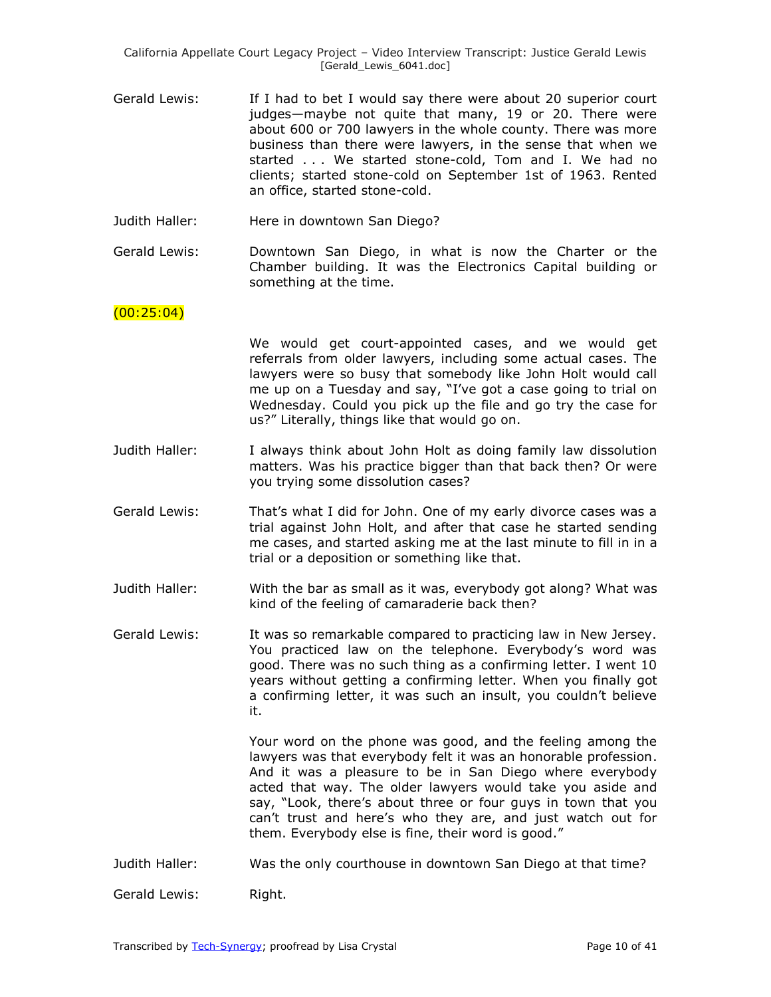California Appellate Court Legacy Project – Video Interview Transcript: Justice Gerald Lewis [Gerald\_Lewis\_6041.doc]

- Gerald Lewis: If I had to bet I would say there were about 20 superior court judges—maybe not quite that many, 19 or 20. There were about 600 or 700 lawyers in the whole county. There was more business than there were lawyers, in the sense that when we started . . . We started stone-cold, Tom and I. We had no clients; started stone-cold on September 1st of 1963. Rented an office, started stone-cold.
- Judith Haller: Here in downtown San Diego?
- Gerald Lewis: Downtown San Diego, in what is now the Charter or the Chamber building. It was the Electronics Capital building or something at the time.

### $(00:25:04)$

- We would get court-appointed cases, and we would get referrals from older lawyers, including some actual cases. The lawyers were so busy that somebody like John Holt would call me up on a Tuesday and say, "I've got a case going to trial on Wednesday. Could you pick up the file and go try the case for us?" Literally, things like that would go on.
- Judith Haller: I always think about John Holt as doing family law dissolution matters. Was his practice bigger than that back then? Or were you trying some dissolution cases?
- Gerald Lewis: That's what I did for John. One of my early divorce cases was a trial against John Holt, and after that case he started sending me cases, and started asking me at the last minute to fill in in a trial or a deposition or something like that.
- Judith Haller: With the bar as small as it was, everybody got along? What was kind of the feeling of camaraderie back then?

Gerald Lewis: It was so remarkable compared to practicing law in New Jersey. You practiced law on the telephone. Everybody's word was good. There was no such thing as a confirming letter. I went 10 years without getting a confirming letter. When you finally got a confirming letter, it was such an insult, you couldn't believe it.

> Your word on the phone was good, and the feeling among the lawyers was that everybody felt it was an honorable profession. And it was a pleasure to be in San Diego where everybody acted that way. The older lawyers would take you aside and say, "Look, there's about three or four guys in town that you can't trust and here's who they are, and just watch out for them. Everybody else is fine, their word is good."

Judith Haller: Was the only courthouse in downtown San Diego at that time?

Gerald Lewis: Right.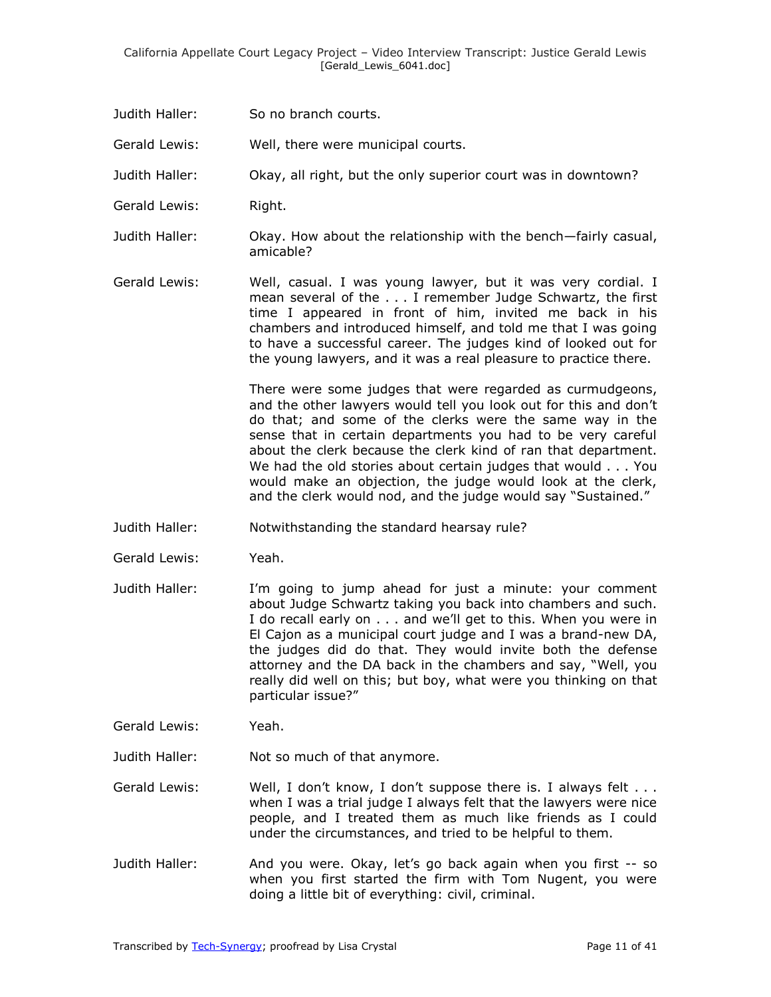- Judith Haller: So no branch courts.
- Gerald Lewis: Well, there were municipal courts.
- Judith Haller: Okay, all right, but the only superior court was in downtown?
- Gerald Lewis: Right.
- Judith Haller: Okay. How about the relationship with the bench—fairly casual, amicable?
- Gerald Lewis: Well, casual. I was young lawyer, but it was very cordial. I mean several of the . . . I remember Judge Schwartz, the first time I appeared in front of him, invited me back in his chambers and introduced himself, and told me that I was going to have a successful career. The judges kind of looked out for the young lawyers, and it was a real pleasure to practice there.

There were some judges that were regarded as curmudgeons, and the other lawyers would tell you look out for this and don't do that; and some of the clerks were the same way in the sense that in certain departments you had to be very careful about the clerk because the clerk kind of ran that department. We had the old stories about certain judges that would . . . You would make an objection, the judge would look at the clerk, and the clerk would nod, and the judge would say "Sustained."

- Judith Haller: Notwithstanding the standard hearsay rule?
- Gerald Lewis: Yeah.
- Judith Haller: I'm going to jump ahead for just a minute: your comment about Judge Schwartz taking you back into chambers and such. I do recall early on . . . and we'll get to this. When you were in El Cajon as a municipal court judge and I was a brand-new DA, the judges did do that. They would invite both the defense attorney and the DA back in the chambers and say, "Well, you really did well on this; but boy, what were you thinking on that particular issue?"
- Gerald Lewis: Yeah.
- Judith Haller: Not so much of that anymore.
- Gerald Lewis: Well, I don't know, I don't suppose there is. I always felt . . . when I was a trial judge I always felt that the lawyers were nice people, and I treated them as much like friends as I could under the circumstances, and tried to be helpful to them.
- Judith Haller: And you were. Okay, let's go back again when you first -- so when you first started the firm with Tom Nugent, you were doing a little bit of everything: civil, criminal.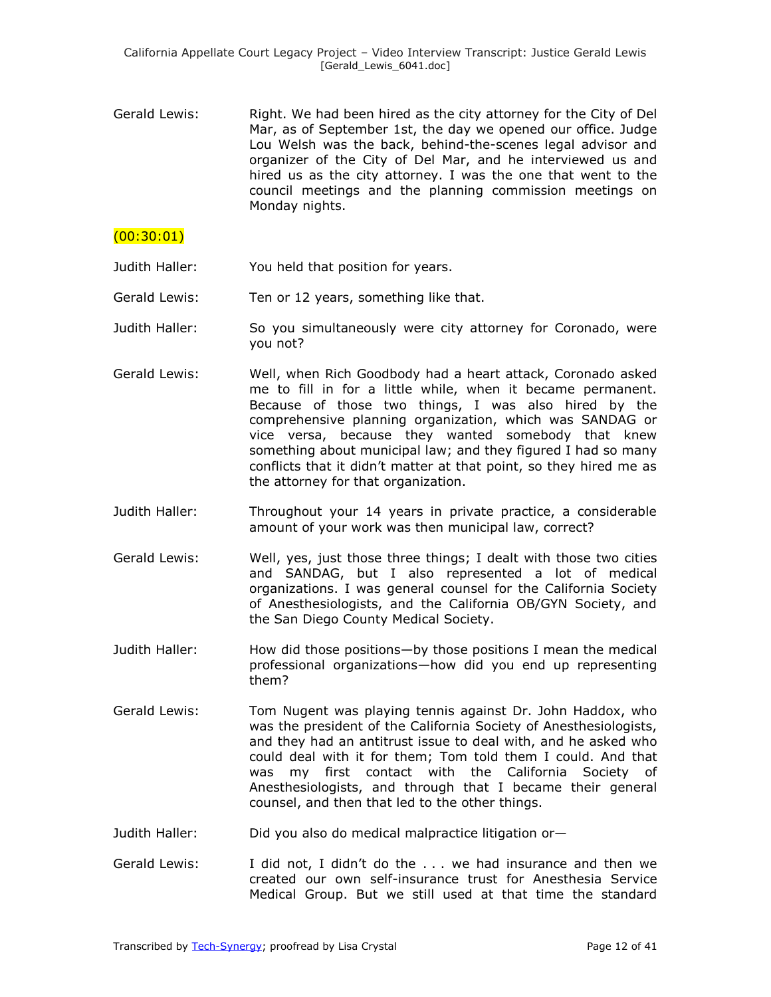Gerald Lewis: Right. We had been hired as the city attorney for the City of Del Mar, as of September 1st, the day we opened our office. Judge Lou Welsh was the back, behind-the-scenes legal advisor and organizer of the City of Del Mar, and he interviewed us and hired us as the city attorney. I was the one that went to the council meetings and the planning commission meetings on Monday nights.

## $(00:30:01)$

- Judith Haller: You held that position for years.
- Gerald Lewis: Ten or 12 years, something like that.
- Judith Haller: So you simultaneously were city attorney for Coronado, were you not?
- Gerald Lewis: Well, when Rich Goodbody had a heart attack, Coronado asked me to fill in for a little while, when it became permanent. Because of those two things, I was also hired by the comprehensive planning organization, which was SANDAG or vice versa, because they wanted somebody that knew something about municipal law; and they figured I had so many conflicts that it didn't matter at that point, so they hired me as the attorney for that organization.
- Judith Haller: Throughout your 14 years in private practice, a considerable amount of your work was then municipal law, correct?
- Gerald Lewis: Well, yes, just those three things; I dealt with those two cities and SANDAG, but I also represented a lot of medical organizations. I was general counsel for the California Society of Anesthesiologists, and the California OB/GYN Society, and the San Diego County Medical Society.
- Judith Haller: How did those positions—by those positions I mean the medical professional organizations—how did you end up representing them?
- Gerald Lewis: Tom Nugent was playing tennis against Dr. John Haddox, who was the president of the California Society of Anesthesiologists, and they had an antitrust issue to deal with, and he asked who could deal with it for them; Tom told them I could. And that was my first contact with the California Society of Anesthesiologists, and through that I became their general counsel, and then that led to the other things.
- Judith Haller: Did you also do medical malpractice litigation or—
- Gerald Lewis: I did not, I didn't do the ... we had insurance and then we created our own self-insurance trust for Anesthesia Service Medical Group. But we still used at that time the standard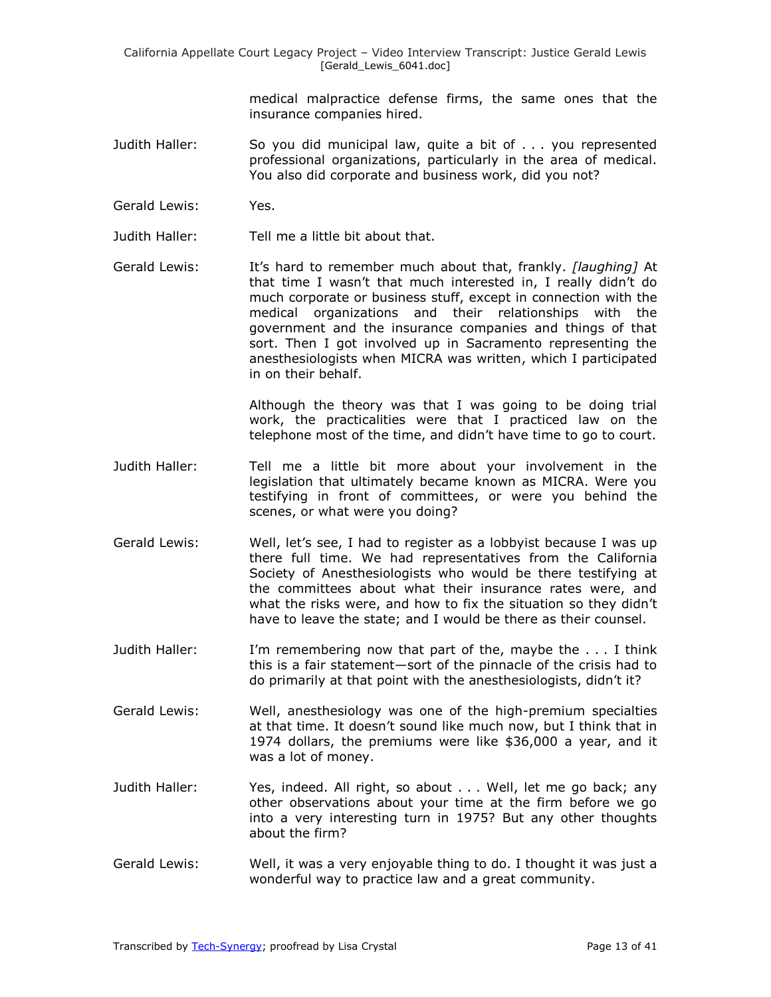medical malpractice defense firms, the same ones that the insurance companies hired.

- Judith Haller: So you did municipal law, quite a bit of . . . you represented professional organizations, particularly in the area of medical. You also did corporate and business work, did you not?
- Gerald Lewis: Yes.
- Judith Haller: Tell me a little bit about that.
- Gerald Lewis: It's hard to remember much about that, frankly. *[laughing]* At that time I wasn't that much interested in, I really didn't do much corporate or business stuff, except in connection with the medical organizations and their relationships with the government and the insurance companies and things of that sort. Then I got involved up in Sacramento representing the anesthesiologists when MICRA was written, which I participated in on their behalf.

Although the theory was that I was going to be doing trial work, the practicalities were that I practiced law on the telephone most of the time, and didn't have time to go to court.

- Judith Haller: Tell me a little bit more about your involvement in the legislation that ultimately became known as MICRA. Were you testifying in front of committees, or were you behind the scenes, or what were you doing?
- Gerald Lewis: Well, let's see, I had to register as a lobbyist because I was up there full time. We had representatives from the California Society of Anesthesiologists who would be there testifying at the committees about what their insurance rates were, and what the risks were, and how to fix the situation so they didn't have to leave the state; and I would be there as their counsel.
- Judith Haller: I'm remembering now that part of the, maybe the . . . I think this is a fair statement—sort of the pinnacle of the crisis had to do primarily at that point with the anesthesiologists, didn't it?
- Gerald Lewis: Well, anesthesiology was one of the high-premium specialties at that time. It doesn't sound like much now, but I think that in 1974 dollars, the premiums were like \$36,000 a year, and it was a lot of money.
- Judith Haller: Yes, indeed. All right, so about . . . Well, let me go back; any other observations about your time at the firm before we go into a very interesting turn in 1975? But any other thoughts about the firm?
- Gerald Lewis: Well, it was a very enjoyable thing to do. I thought it was just a wonderful way to practice law and a great community.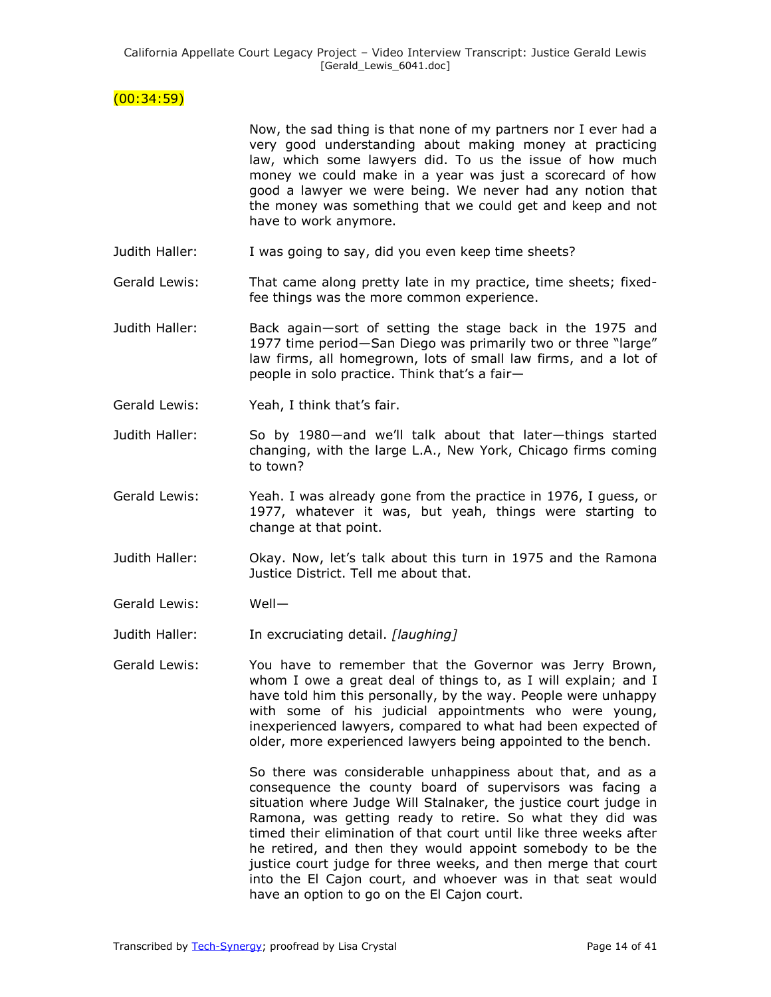## $(00:34:59)$

Now, the sad thing is that none of my partners nor I ever had a very good understanding about making money at practicing law, which some lawyers did. To us the issue of how much money we could make in a year was just a scorecard of how good a lawyer we were being. We never had any notion that the money was something that we could get and keep and not have to work anymore.

- Judith Haller: I was going to say, did you even keep time sheets?
- Gerald Lewis: That came along pretty late in my practice, time sheets; fixedfee things was the more common experience.
- Judith Haller: Back again—sort of setting the stage back in the 1975 and 1977 time period-San Diego was primarily two or three "large" law firms, all homegrown, lots of small law firms, and a lot of people in solo practice. Think that's a fair—
- Gerald Lewis: Yeah, I think that's fair.
- Judith Haller: So by 1980—and we'll talk about that later—things started changing, with the large L.A., New York, Chicago firms coming to town?
- Gerald Lewis: Yeah. I was already gone from the practice in 1976, I guess, or 1977, whatever it was, but yeah, things were starting to change at that point.
- Judith Haller: Okay. Now, let's talk about this turn in 1975 and the Ramona Justice District. Tell me about that.
- Gerald Lewis: Well—

Judith Haller: In excruciating detail. *[laughing]*

Gerald Lewis: You have to remember that the Governor was Jerry Brown, whom I owe a great deal of things to, as I will explain; and I have told him this personally, by the way. People were unhappy with some of his judicial appointments who were young, inexperienced lawyers, compared to what had been expected of older, more experienced lawyers being appointed to the bench.

> So there was considerable unhappiness about that, and as a consequence the county board of supervisors was facing a situation where Judge Will Stalnaker, the justice court judge in Ramona, was getting ready to retire. So what they did was timed their elimination of that court until like three weeks after he retired, and then they would appoint somebody to be the justice court judge for three weeks, and then merge that court into the El Cajon court, and whoever was in that seat would have an option to go on the El Cajon court.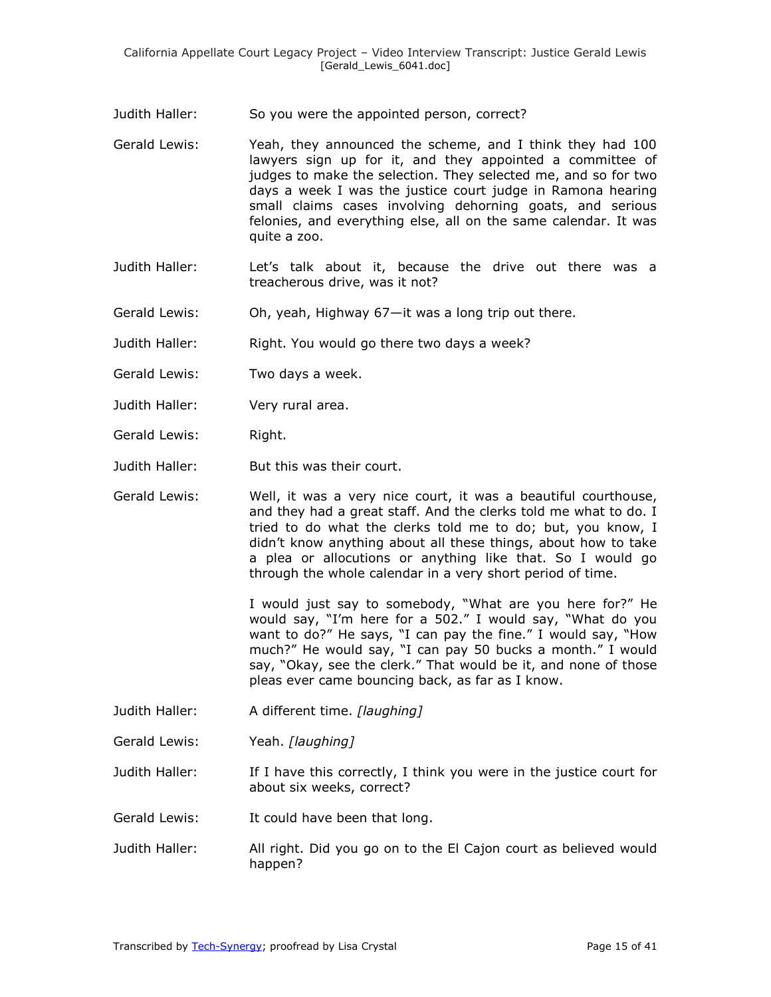Judith Haller: So you were the appointed person, correct?

- Gerald Lewis: Yeah, they announced the scheme, and I think they had 100 lawyers sign up for it, and they appointed a committee of judges to make the selection. They selected me, and so for two days a week I was the justice court judge in Ramona hearing small claims cases involving dehorning goats, and serious felonies, and everything else, all on the same calendar. It was quite a zoo.
- Judith Haller: Let's talk about it, because the drive out there was a treacherous drive, was it not?
- Gerald Lewis: Oh, yeah, Highway 67—it was a long trip out there.

Judith Haller: Right. You would go there two days a week?

- Gerald Lewis: Two days a week.
- Judith Haller: Very rural area.
- Gerald Lewis: Right.
- Judith Haller: But this was their court.
- Gerald Lewis: Well, it was a very nice court, it was a beautiful courthouse, and they had a great staff. And the clerks told me what to do. I tried to do what the clerks told me to do; but, you know, I didn't know anything about all these things, about how to take a plea or allocutions or anything like that. So I would go through the whole calendar in a very short period of time.

I would just say to somebody, "What are you here for?" He would say, "I'm here for a 502." I would say, "What do you want to do?" He says, "I can pay the fine." I would say, "How much?" He would say, "I can pay 50 bucks a month." I would say, "Okay, see the clerk." That would be it, and none of those pleas ever came bouncing back, as far as I know.

Judith Haller: A different time. *[laughing]* 

Gerald Lewis: Yeah. *[laughing]*

Judith Haller: If I have this correctly, I think you were in the justice court for about six weeks, correct?

Gerald Lewis: It could have been that long.

Judith Haller: All right. Did you go on to the El Cajon court as believed would happen?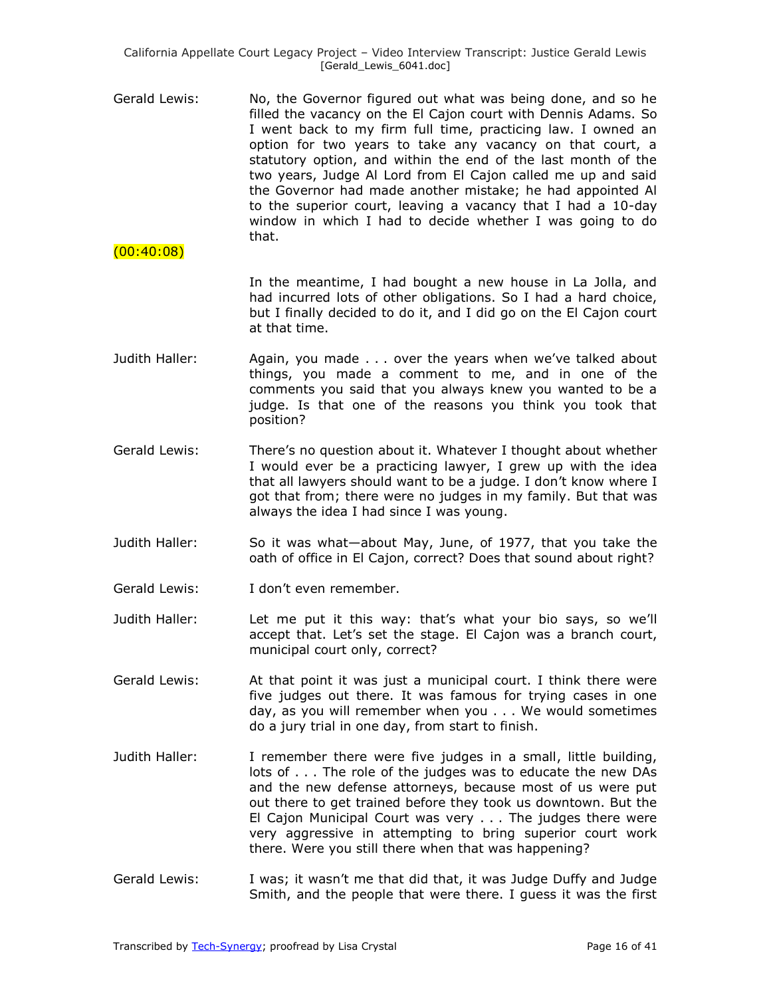- Gerald Lewis: No, the Governor figured out what was being done, and so he filled the vacancy on the El Cajon court with Dennis Adams. So I went back to my firm full time, practicing law. I owned an option for two years to take any vacancy on that court, a statutory option, and within the end of the last month of the two years, Judge Al Lord from El Cajon called me up and said the Governor had made another mistake; he had appointed Al to the superior court, leaving a vacancy that I had a 10-day window in which I had to decide whether I was going to do that.
- $(00:40:08)$

In the meantime, I had bought a new house in La Jolla, and had incurred lots of other obligations. So I had a hard choice, but I finally decided to do it, and I did go on the El Cajon court at that time.

- Judith Haller: Again, you made . . . over the years when we've talked about things, you made a comment to me, and in one of the comments you said that you always knew you wanted to be a judge. Is that one of the reasons you think you took that position?
- Gerald Lewis: There's no question about it. Whatever I thought about whether I would ever be a practicing lawyer, I grew up with the idea that all lawyers should want to be a judge. I don't know where I got that from; there were no judges in my family. But that was always the idea I had since I was young.
- Judith Haller: So it was what—about May, June, of 1977, that you take the oath of office in El Cajon, correct? Does that sound about right?
- Gerald Lewis: I don't even remember.
- Judith Haller: Let me put it this way: that's what your bio says, so we'll accept that. Let's set the stage. El Cajon was a branch court, municipal court only, correct?
- Gerald Lewis: At that point it was just a municipal court. I think there were five judges out there. It was famous for trying cases in one day, as you will remember when you . . . We would sometimes do a jury trial in one day, from start to finish.
- Judith Haller: I remember there were five judges in a small, little building, lots of . . . The role of the judges was to educate the new DAs and the new defense attorneys, because most of us were put out there to get trained before they took us downtown. But the El Cajon Municipal Court was very . . . The judges there were very aggressive in attempting to bring superior court work there. Were you still there when that was happening?
- Gerald Lewis: I was; it wasn't me that did that, it was Judge Duffy and Judge Smith, and the people that were there. I guess it was the first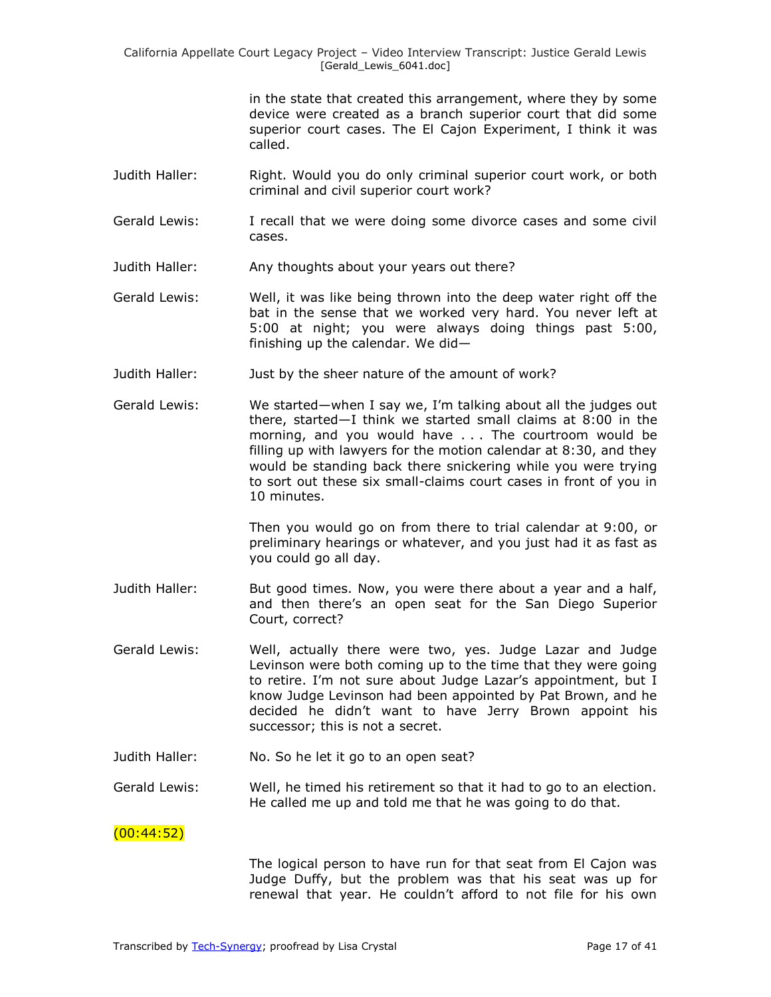in the state that created this arrangement, where they by some device were created as a branch superior court that did some superior court cases. The El Cajon Experiment, I think it was called.

- Judith Haller: Right. Would you do only criminal superior court work, or both criminal and civil superior court work?
- Gerald Lewis: I recall that we were doing some divorce cases and some civil cases.
- Judith Haller: Any thoughts about your years out there?
- Gerald Lewis: Well, it was like being thrown into the deep water right off the bat in the sense that we worked very hard. You never left at 5:00 at night; you were always doing things past 5:00, finishing up the calendar. We did—
- Judith Haller: Just by the sheer nature of the amount of work?
- Gerald Lewis: We started—when I say we, I'm talking about all the judges out there, started—I think we started small claims at 8:00 in the morning, and you would have . . . The courtroom would be filling up with lawyers for the motion calendar at 8:30, and they would be standing back there snickering while you were trying to sort out these six small-claims court cases in front of you in 10 minutes.

Then you would go on from there to trial calendar at 9:00, or preliminary hearings or whatever, and you just had it as fast as you could go all day.

- Judith Haller: But good times. Now, you were there about a year and a half, and then there's an open seat for the San Diego Superior Court, correct?
- Gerald Lewis: Well, actually there were two, yes. Judge Lazar and Judge Levinson were both coming up to the time that they were going to retire. I'm not sure about Judge Lazar's appointment, but I know Judge Levinson had been appointed by Pat Brown, and he decided he didn't want to have Jerry Brown appoint his successor; this is not a secret.
- Judith Haller: No. So he let it go to an open seat?

Gerald Lewis: Well, he timed his retirement so that it had to go to an election. He called me up and told me that he was going to do that.

## $(00:44:52)$

The logical person to have run for that seat from El Cajon was Judge Duffy, but the problem was that his seat was up for renewal that year. He couldn't afford to not file for his own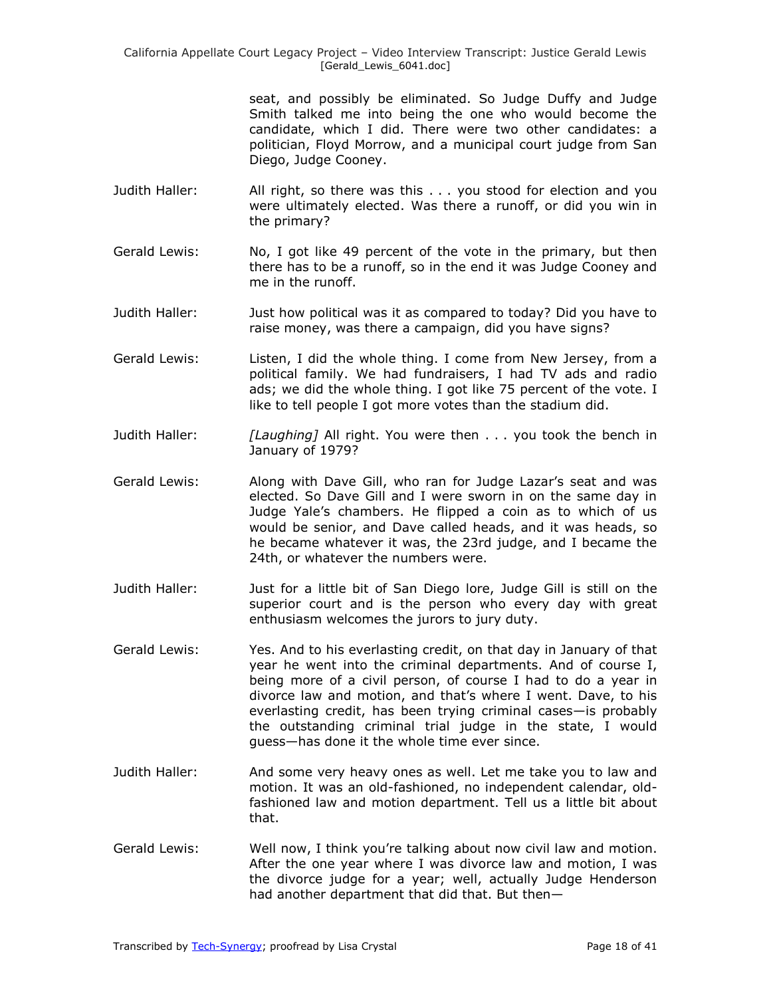California Appellate Court Legacy Project – Video Interview Transcript: Justice Gerald Lewis [Gerald\_Lewis\_6041.doc]

> seat, and possibly be eliminated. So Judge Duffy and Judge Smith talked me into being the one who would become the candidate, which I did. There were two other candidates: a politician, Floyd Morrow, and a municipal court judge from San Diego, Judge Cooney.

- Judith Haller: All right, so there was this . . . you stood for election and you were ultimately elected. Was there a runoff, or did you win in the primary?
- Gerald Lewis: No, I got like 49 percent of the vote in the primary, but then there has to be a runoff, so in the end it was Judge Cooney and me in the runoff.
- Judith Haller: Just how political was it as compared to today? Did you have to raise money, was there a campaign, did you have signs?
- Gerald Lewis: Listen, I did the whole thing. I come from New Jersey, from a political family. We had fundraisers, I had TV ads and radio ads; we did the whole thing. I got like 75 percent of the vote. I like to tell people I got more votes than the stadium did.
- Judith Haller: *[Laughing]* All right. You were then . . . you took the bench in January of 1979?
- Gerald Lewis: Along with Dave Gill, who ran for Judge Lazar's seat and was elected. So Dave Gill and I were sworn in on the same day in Judge Yale's chambers. He flipped a coin as to which of us would be senior, and Dave called heads, and it was heads, so he became whatever it was, the 23rd judge, and I became the 24th, or whatever the numbers were.
- Judith Haller: Just for a little bit of San Diego lore, Judge Gill is still on the superior court and is the person who every day with great enthusiasm welcomes the jurors to jury duty.
- Gerald Lewis: Yes. And to his everlasting credit, on that day in January of that year he went into the criminal departments. And of course I, being more of a civil person, of course I had to do a year in divorce law and motion, and that's where I went. Dave, to his everlasting credit, has been trying criminal cases—is probably the outstanding criminal trial judge in the state, I would guess—has done it the whole time ever since.
- Judith Haller: And some very heavy ones as well. Let me take you to law and motion. It was an old-fashioned, no independent calendar, oldfashioned law and motion department. Tell us a little bit about that.
- Gerald Lewis: Well now, I think you're talking about now civil law and motion. After the one year where I was divorce law and motion, I was the divorce judge for a year; well, actually Judge Henderson had another department that did that. But then—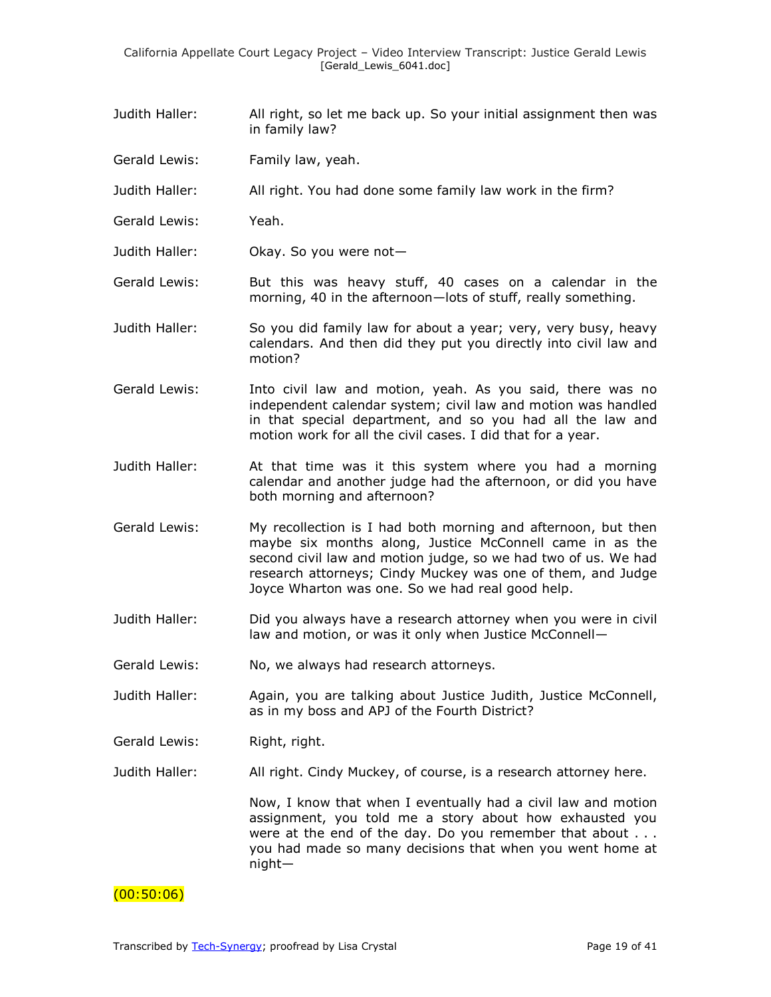- Judith Haller: All right, so let me back up. So your initial assignment then was in family law?
- Gerald Lewis: Family law, yeah.
- Judith Haller: All right. You had done some family law work in the firm?
- Gerald Lewis: Yeah.
- Judith Haller: Okay. So you were not—
- Gerald Lewis: But this was heavy stuff, 40 cases on a calendar in the morning, 40 in the afternoon—lots of stuff, really something.
- Judith Haller: So you did family law for about a year; very, very busy, heavy calendars. And then did they put you directly into civil law and motion?
- Gerald Lewis: Into civil law and motion, yeah. As you said, there was no independent calendar system; civil law and motion was handled in that special department, and so you had all the law and motion work for all the civil cases. I did that for a year.
- Judith Haller: At that time was it this system where you had a morning calendar and another judge had the afternoon, or did you have both morning and afternoon?
- Gerald Lewis: My recollection is I had both morning and afternoon, but then maybe six months along, Justice McConnell came in as the second civil law and motion judge, so we had two of us. We had research attorneys; Cindy Muckey was one of them, and Judge Joyce Wharton was one. So we had real good help.
- Judith Haller: Did you always have a research attorney when you were in civil law and motion, or was it only when Justice McConnell—
- Gerald Lewis: No, we always had research attorneys.
- Judith Haller: Again, you are talking about Justice Judith, Justice McConnell, as in my boss and APJ of the Fourth District?
- Gerald Lewis: Right, right.
- Judith Haller: All right. Cindy Muckey, of course, is a research attorney here.

Now, I know that when I eventually had a civil law and motion assignment, you told me a story about how exhausted you were at the end of the day. Do you remember that about . . . you had made so many decisions that when you went home at night—

## $(00:50:06)$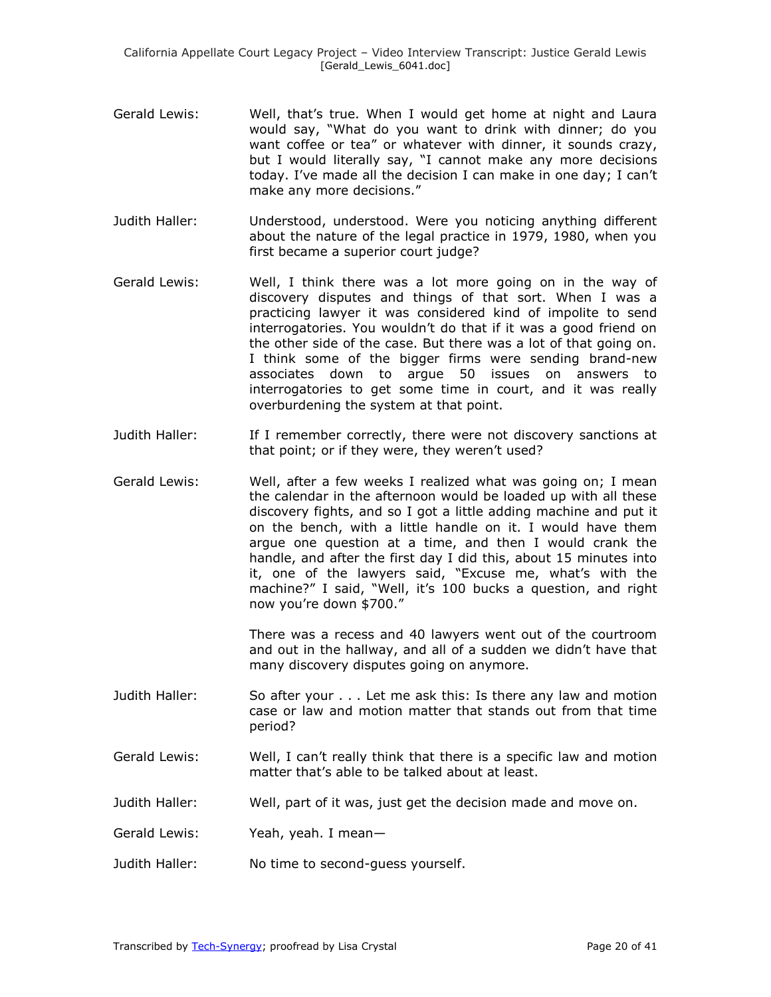- Gerald Lewis: Well, that's true. When I would get home at night and Laura would say, "What do you want to drink with dinner; do you want coffee or tea" or whatever with dinner, it sounds crazy, but I would literally say, "I cannot make any more decisions today. I've made all the decision I can make in one day; I can't make any more decisions."
- Judith Haller: Understood, understood. Were you noticing anything different about the nature of the legal practice in 1979, 1980, when you first became a superior court judge?
- Gerald Lewis: Well, I think there was a lot more going on in the way of discovery disputes and things of that sort. When I was a practicing lawyer it was considered kind of impolite to send interrogatories. You wouldn't do that if it was a good friend on the other side of the case. But there was a lot of that going on. I think some of the bigger firms were sending brand-new associates down to argue 50 issues on answers to interrogatories to get some time in court, and it was really overburdening the system at that point.
- Judith Haller: If I remember correctly, there were not discovery sanctions at that point; or if they were, they weren't used?
- Gerald Lewis: Well, after a few weeks I realized what was going on; I mean the calendar in the afternoon would be loaded up with all these discovery fights, and so I got a little adding machine and put it on the bench, with a little handle on it. I would have them argue one question at a time, and then I would crank the handle, and after the first day I did this, about 15 minutes into it, one of the lawyers said, "Excuse me, what's with the machine?" I said, "Well, it's 100 bucks a question, and right now you're down \$700."

There was a recess and 40 lawyers went out of the courtroom and out in the hallway, and all of a sudden we didn't have that many discovery disputes going on anymore.

- Judith Haller: So after your . . . Let me ask this: Is there any law and motion case or law and motion matter that stands out from that time period?
- Gerald Lewis: Well, I can't really think that there is a specific law and motion matter that's able to be talked about at least.
- Judith Haller: Well, part of it was, just get the decision made and move on.
- Gerald Lewis: Yeah, yeah. I mean—
- Judith Haller: No time to second-guess yourself.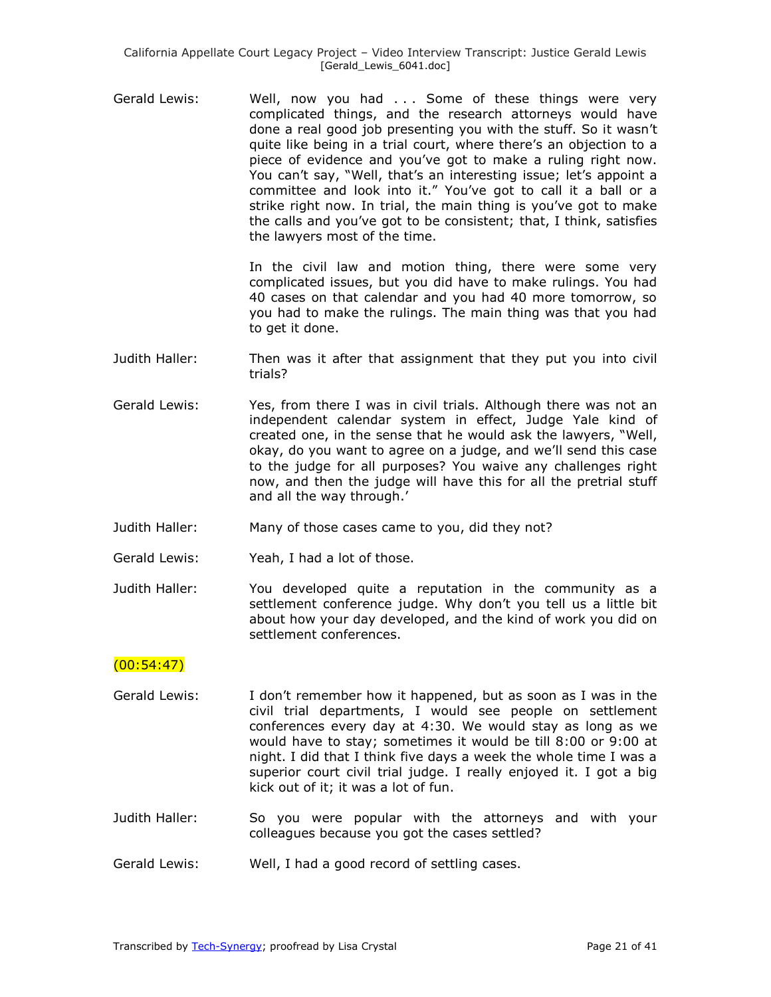Gerald Lewis: Well, now you had . . . Some of these things were very complicated things, and the research attorneys would have done a real good job presenting you with the stuff. So it wasn't quite like being in a trial court, where there's an objection to a piece of evidence and you've got to make a ruling right now. You can't say, "Well, that's an interesting issue; let's appoint a committee and look into it." You've got to call it a ball or a strike right now. In trial, the main thing is you've got to make the calls and you've got to be consistent; that, I think, satisfies the lawyers most of the time.

> In the civil law and motion thing, there were some very complicated issues, but you did have to make rulings. You had 40 cases on that calendar and you had 40 more tomorrow, so you had to make the rulings. The main thing was that you had to get it done.

- Judith Haller: Then was it after that assignment that they put you into civil trials?
- Gerald Lewis: Yes, from there I was in civil trials. Although there was not an independent calendar system in effect, Judge Yale kind of created one, in the sense that he would ask the lawyers, "Well, okay, do you want to agree on a judge, and we'll send this case to the judge for all purposes? You waive any challenges right now, and then the judge will have this for all the pretrial stuff and all the way through.'
- Judith Haller: Many of those cases came to you, did they not?
- Gerald Lewis: Yeah, I had a lot of those.
- Judith Haller: You developed quite a reputation in the community as a settlement conference judge. Why don't you tell us a little bit about how your day developed, and the kind of work you did on settlement conferences.

## $(00:54:47)$

- Gerald Lewis: I don't remember how it happened, but as soon as I was in the civil trial departments, I would see people on settlement conferences every day at 4:30. We would stay as long as we would have to stay; sometimes it would be till 8:00 or 9:00 at night. I did that I think five days a week the whole time I was a superior court civil trial judge. I really enjoyed it. I got a big kick out of it; it was a lot of fun.
- Judith Haller: So you were popular with the attorneys and with your colleagues because you got the cases settled?

Gerald Lewis: Well, I had a good record of settling cases.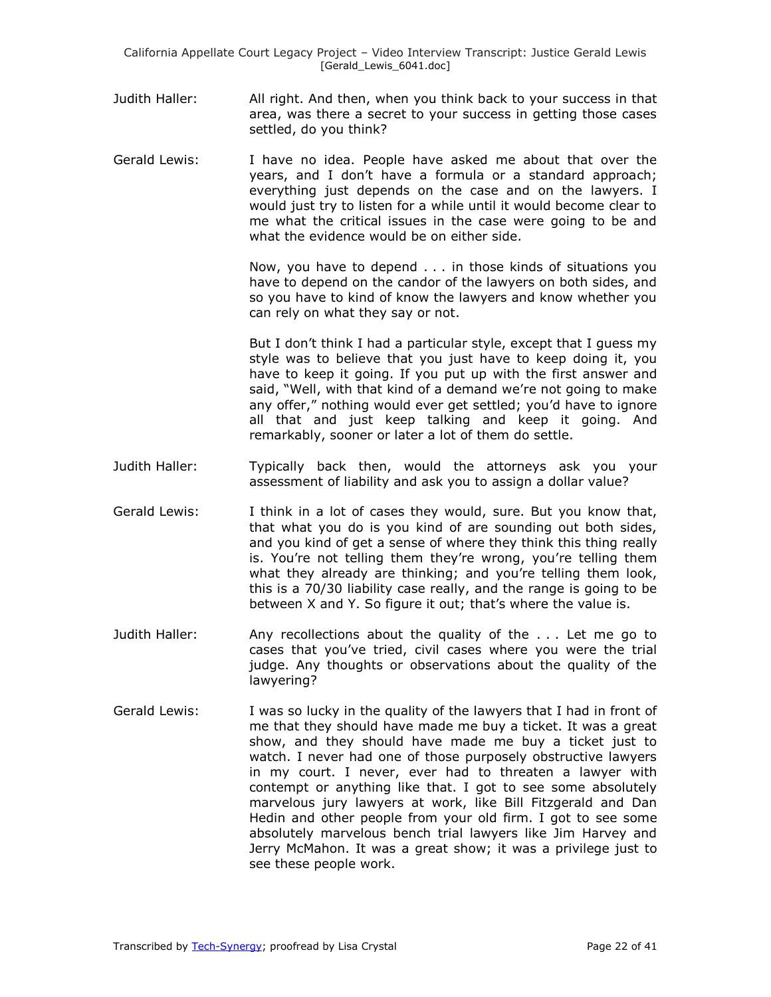- Judith Haller: All right. And then, when you think back to your success in that area, was there a secret to your success in getting those cases settled, do you think?
- Gerald Lewis: I have no idea. People have asked me about that over the years, and I don't have a formula or a standard approach; everything just depends on the case and on the lawyers. I would just try to listen for a while until it would become clear to me what the critical issues in the case were going to be and what the evidence would be on either side.

Now, you have to depend . . . in those kinds of situations you have to depend on the candor of the lawyers on both sides, and so you have to kind of know the lawyers and know whether you can rely on what they say or not.

But I don't think I had a particular style, except that I guess my style was to believe that you just have to keep doing it, you have to keep it going. If you put up with the first answer and said, "Well, with that kind of a demand we're not going to make any offer," nothing would ever get settled; you'd have to ignore all that and just keep talking and keep it going. And remarkably, sooner or later a lot of them do settle.

- Judith Haller: Typically back then, would the attorneys ask you your assessment of liability and ask you to assign a dollar value?
- Gerald Lewis: I think in a lot of cases they would, sure. But you know that, that what you do is you kind of are sounding out both sides, and you kind of get a sense of where they think this thing really is. You're not telling them they're wrong, you're telling them what they already are thinking; and you're telling them look, this is a 70/30 liability case really, and the range is going to be between X and Y. So figure it out; that's where the value is.
- Judith Haller: Any recollections about the quality of the . . . Let me go to cases that you've tried, civil cases where you were the trial judge. Any thoughts or observations about the quality of the lawyering?
- Gerald Lewis: I was so lucky in the quality of the lawyers that I had in front of me that they should have made me buy a ticket. It was a great show, and they should have made me buy a ticket just to watch. I never had one of those purposely obstructive lawyers in my court. I never, ever had to threaten a lawyer with contempt or anything like that. I got to see some absolutely marvelous jury lawyers at work, like Bill Fitzgerald and Dan Hedin and other people from your old firm. I got to see some absolutely marvelous bench trial lawyers like Jim Harvey and Jerry McMahon. It was a great show; it was a privilege just to see these people work.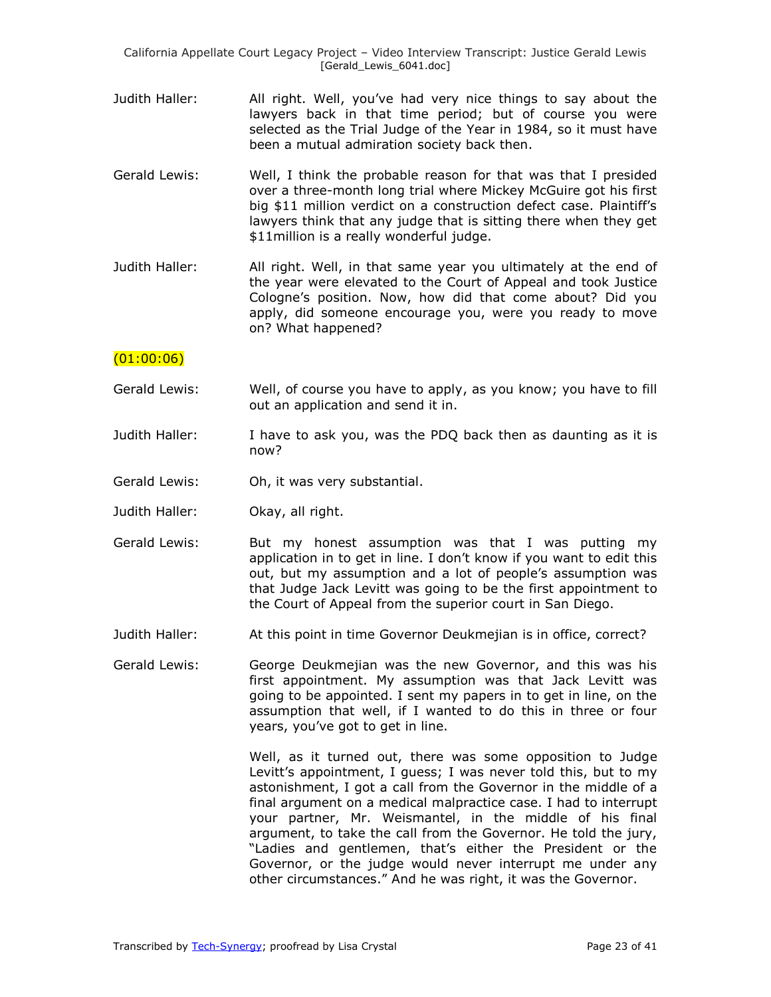California Appellate Court Legacy Project – Video Interview Transcript: Justice Gerald Lewis [Gerald\_Lewis\_6041.doc]

- Judith Haller: All right. Well, you've had very nice things to say about the lawyers back in that time period; but of course you were selected as the Trial Judge of the Year in 1984, so it must have been a mutual admiration society back then.
- Gerald Lewis: Well, I think the probable reason for that was that I presided over a three-month long trial where Mickey McGuire got his first big \$11 million verdict on a construction defect case. Plaintiff's lawyers think that any judge that is sitting there when they get \$11 million is a really wonderful judge.
- Judith Haller: All right. Well, in that same year you ultimately at the end of the year were elevated to the Court of Appeal and took Justice Cologne's position. Now, how did that come about? Did you apply, did someone encourage you, were you ready to move on? What happened?

#### $(01:00:06)$

- Gerald Lewis: Well, of course you have to apply, as you know; you have to fill out an application and send it in.
- Judith Haller: I have to ask you, was the PDQ back then as daunting as it is now?
- Gerald Lewis: Oh, it was very substantial.
- Judith Haller: Okay, all right.
- Gerald Lewis: But my honest assumption was that I was putting my application in to get in line. I don't know if you want to edit this out, but my assumption and a lot of people's assumption was that Judge Jack Levitt was going to be the first appointment to the Court of Appeal from the superior court in San Diego.
- Judith Haller: At this point in time Governor Deukmejian is in office, correct?
- Gerald Lewis: George Deukmejian was the new Governor, and this was his first appointment. My assumption was that Jack Levitt was going to be appointed. I sent my papers in to get in line, on the assumption that well, if I wanted to do this in three or four years, you've got to get in line.

Well, as it turned out, there was some opposition to Judge Levitt's appointment, I guess; I was never told this, but to my astonishment, I got a call from the Governor in the middle of a final argument on a medical malpractice case. I had to interrupt your partner, Mr. Weismantel, in the middle of his final argument, to take the call from the Governor. He told the jury, "Ladies and gentlemen, that's either the President or the Governor, or the judge would never interrupt me under any other circumstances." And he was right, it was the Governor.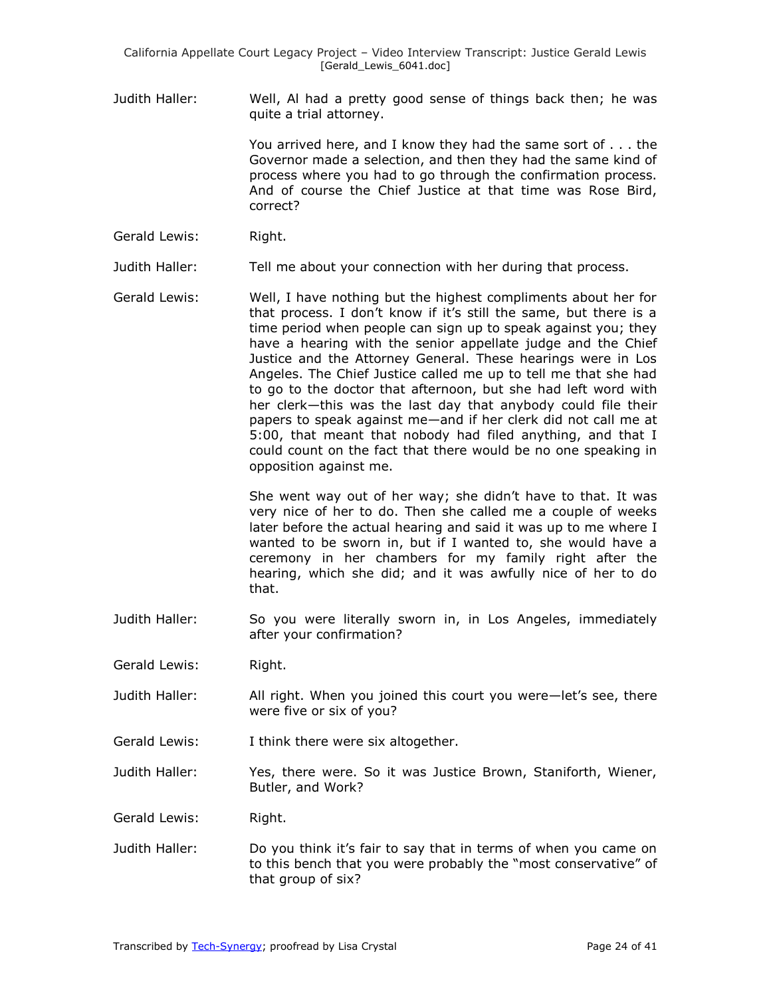Judith Haller: Well, Al had a pretty good sense of things back then; he was quite a trial attorney.

> You arrived here, and I know they had the same sort of . . . the Governor made a selection, and then they had the same kind of process where you had to go through the confirmation process. And of course the Chief Justice at that time was Rose Bird, correct?

Gerald Lewis: Right.

Judith Haller: Tell me about your connection with her during that process.

Gerald Lewis: Well, I have nothing but the highest compliments about her for that process. I don't know if it's still the same, but there is a time period when people can sign up to speak against you; they have a hearing with the senior appellate judge and the Chief Justice and the Attorney General. These hearings were in Los Angeles. The Chief Justice called me up to tell me that she had to go to the doctor that afternoon, but she had left word with her clerk—this was the last day that anybody could file their papers to speak against me—and if her clerk did not call me at 5:00, that meant that nobody had filed anything, and that I could count on the fact that there would be no one speaking in opposition against me.

> She went way out of her way; she didn't have to that. It was very nice of her to do. Then she called me a couple of weeks later before the actual hearing and said it was up to me where I wanted to be sworn in, but if I wanted to, she would have a ceremony in her chambers for my family right after the hearing, which she did; and it was awfully nice of her to do that.

- Judith Haller: So you were literally sworn in, in Los Angeles, immediately after your confirmation?
- Gerald Lewis: Right.
- Judith Haller: All right. When you joined this court you were—let's see, there were five or six of you?
- Gerald Lewis: I think there were six altogether.
- Judith Haller: Yes, there were. So it was Justice Brown, Staniforth, Wiener, Butler, and Work?

Gerald Lewis: Right.

Judith Haller: Do you think it's fair to say that in terms of when you came on to this bench that you were probably the "most conservative" of that group of six?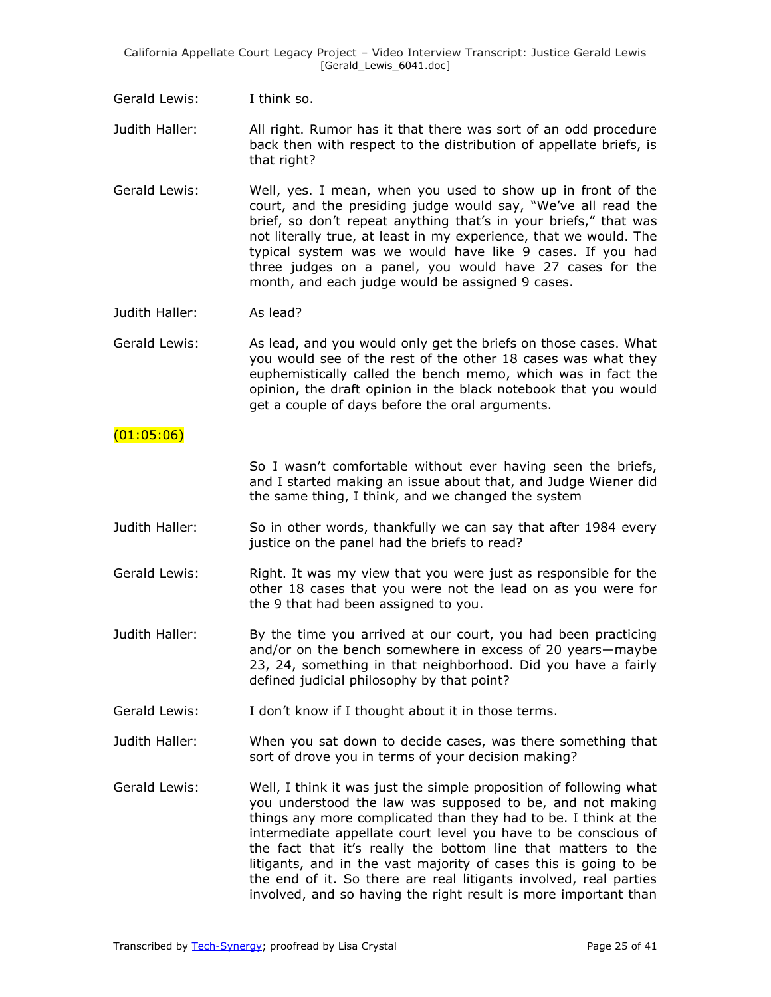California Appellate Court Legacy Project – Video Interview Transcript: Justice Gerald Lewis [Gerald Lewis 6041.doc]

Gerald Lewis: I think so.

Judith Haller: All right. Rumor has it that there was sort of an odd procedure back then with respect to the distribution of appellate briefs, is that right?

Gerald Lewis: Well, yes. I mean, when you used to show up in front of the court, and the presiding judge would say, "We've all read the brief, so don't repeat anything that's in your briefs," that was not literally true, at least in my experience, that we would. The typical system was we would have like 9 cases. If you had three judges on a panel, you would have 27 cases for the month, and each judge would be assigned 9 cases.

Judith Haller: As lead?

Gerald Lewis: As lead, and you would only get the briefs on those cases. What you would see of the rest of the other 18 cases was what they euphemistically called the bench memo, which was in fact the opinion, the draft opinion in the black notebook that you would get a couple of days before the oral arguments.

#### $(01:05:06)$

So I wasn't comfortable without ever having seen the briefs, and I started making an issue about that, and Judge Wiener did the same thing, I think, and we changed the system

- Judith Haller: So in other words, thankfully we can say that after 1984 every justice on the panel had the briefs to read?
- Gerald Lewis: Right. It was my view that you were just as responsible for the other 18 cases that you were not the lead on as you were for the 9 that had been assigned to you.
- Judith Haller: By the time you arrived at our court, you had been practicing and/or on the bench somewhere in excess of 20 years—maybe 23, 24, something in that neighborhood. Did you have a fairly defined judicial philosophy by that point?
- Gerald Lewis: I don't know if I thought about it in those terms.
- Judith Haller: When you sat down to decide cases, was there something that sort of drove you in terms of your decision making?
- Gerald Lewis: Well, I think it was just the simple proposition of following what you understood the law was supposed to be, and not making things any more complicated than they had to be. I think at the intermediate appellate court level you have to be conscious of the fact that it's really the bottom line that matters to the litigants, and in the vast majority of cases this is going to be the end of it. So there are real litigants involved, real parties involved, and so having the right result is more important than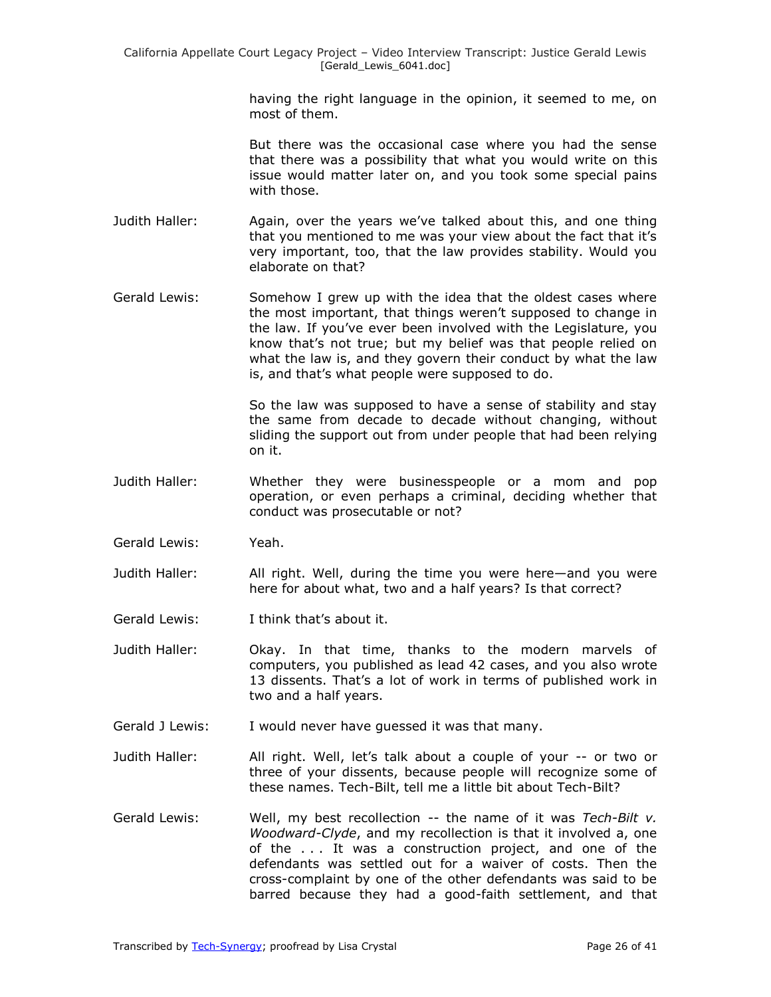having the right language in the opinion, it seemed to me, on most of them.

But there was the occasional case where you had the sense that there was a possibility that what you would write on this issue would matter later on, and you took some special pains with those.

- Judith Haller: Again, over the years we've talked about this, and one thing that you mentioned to me was your view about the fact that it's very important, too, that the law provides stability. Would you elaborate on that?
- Gerald Lewis: Somehow I grew up with the idea that the oldest cases where the most important, that things weren't supposed to change in the law. If you've ever been involved with the Legislature, you know that's not true; but my belief was that people relied on what the law is, and they govern their conduct by what the law is, and that's what people were supposed to do.

So the law was supposed to have a sense of stability and stay the same from decade to decade without changing, without sliding the support out from under people that had been relying on it.

- Judith Haller: Whether they were businesspeople or a mom and pop operation, or even perhaps a criminal, deciding whether that conduct was prosecutable or not?
- Gerald Lewis: Yeah.
- Judith Haller: All right. Well, during the time you were here—and you were here for about what, two and a half years? Is that correct?
- Gerald Lewis: I think that's about it.
- Judith Haller: Okay. In that time, thanks to the modern marvels of computers, you published as lead 42 cases, and you also wrote 13 dissents. That's a lot of work in terms of published work in two and a half years.
- Gerald J Lewis: I would never have guessed it was that many.
- Judith Haller: All right. Well, let's talk about a couple of your -- or two or three of your dissents, because people will recognize some of these names. Tech-Bilt, tell me a little bit about Tech-Bilt?
- Gerald Lewis: Well, my best recollection -- the name of it was *Tech-Bilt v. Woodward-Clyde*, and my recollection is that it involved a, one of the . . . It was a construction project, and one of the defendants was settled out for a waiver of costs. Then the cross-complaint by one of the other defendants was said to be barred because they had a good-faith settlement, and that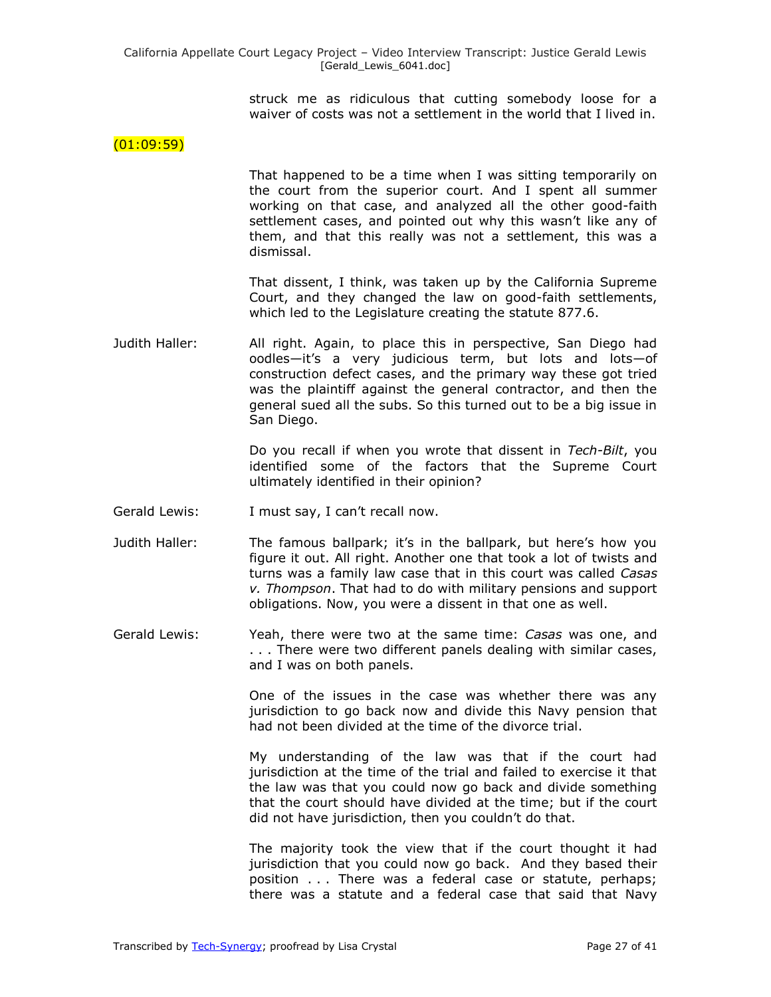struck me as ridiculous that cutting somebody loose for a waiver of costs was not a settlement in the world that I lived in.

#### $(01:09:59)$

That happened to be a time when I was sitting temporarily on the court from the superior court. And I spent all summer working on that case, and analyzed all the other good-faith settlement cases, and pointed out why this wasn't like any of them, and that this really was not a settlement, this was a dismissal.

That dissent, I think, was taken up by the California Supreme Court, and they changed the law on good-faith settlements, which led to the Legislature creating the statute 877.6.

Judith Haller: All right. Again, to place this in perspective, San Diego had oodles—it's a very judicious term, but lots and lots—of construction defect cases, and the primary way these got tried was the plaintiff against the general contractor, and then the general sued all the subs. So this turned out to be a big issue in San Diego.

> Do you recall if when you wrote that dissent in *Tech-Bilt*, you identified some of the factors that the Supreme Court ultimately identified in their opinion?

- Gerald Lewis: I must say, I can't recall now.
- Judith Haller: The famous ballpark; it's in the ballpark, but here's how you figure it out. All right. Another one that took a lot of twists and turns was a family law case that in this court was called *Casas v. Thompson*. That had to do with military pensions and support obligations. Now, you were a dissent in that one as well.
- Gerald Lewis: Yeah, there were two at the same time: *Casas* was one, and . . . There were two different panels dealing with similar cases, and I was on both panels.

One of the issues in the case was whether there was any jurisdiction to go back now and divide this Navy pension that had not been divided at the time of the divorce trial.

My understanding of the law was that if the court had jurisdiction at the time of the trial and failed to exercise it that the law was that you could now go back and divide something that the court should have divided at the time; but if the court did not have jurisdiction, then you couldn't do that.

The majority took the view that if the court thought it had jurisdiction that you could now go back. And they based their position . . . There was a federal case or statute, perhaps; there was a statute and a federal case that said that Navy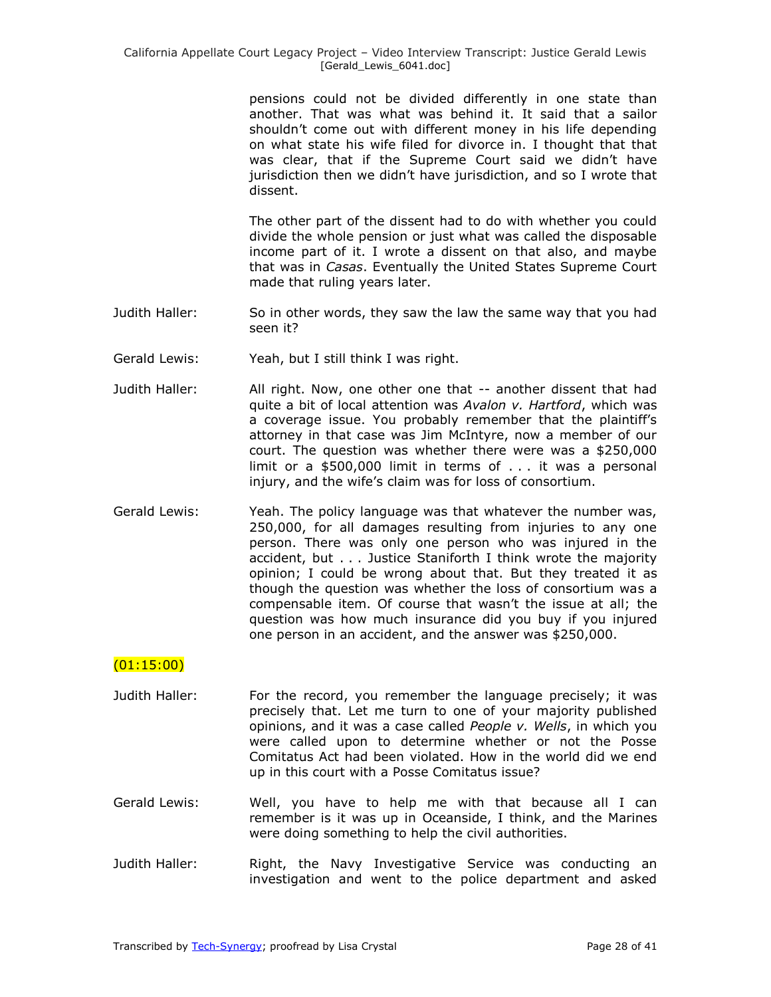pensions could not be divided differently in one state than another. That was what was behind it. It said that a sailor shouldn't come out with different money in his life depending on what state his wife filed for divorce in. I thought that that was clear, that if the Supreme Court said we didn't have jurisdiction then we didn't have jurisdiction, and so I wrote that dissent.

The other part of the dissent had to do with whether you could divide the whole pension or just what was called the disposable income part of it. I wrote a dissent on that also, and maybe that was in *Casas*. Eventually the United States Supreme Court made that ruling years later.

- Judith Haller: So in other words, they saw the law the same way that you had seen it?
- Gerald Lewis: Yeah, but I still think I was right.
- Judith Haller: All right. Now, one other one that -- another dissent that had quite a bit of local attention was *Avalon v. Hartford*, which was a coverage issue. You probably remember that the plaintiff's attorney in that case was Jim McIntyre, now a member of our court. The question was whether there were was a \$250,000 limit or a \$500,000 limit in terms of . . . it was a personal injury, and the wife's claim was for loss of consortium.
- Gerald Lewis: Yeah. The policy language was that whatever the number was, 250,000, for all damages resulting from injuries to any one person. There was only one person who was injured in the accident, but . . . Justice Staniforth I think wrote the majority opinion; I could be wrong about that. But they treated it as though the question was whether the loss of consortium was a compensable item. Of course that wasn't the issue at all; the question was how much insurance did you buy if you injured one person in an accident, and the answer was \$250,000.

## $(01:15:00)$

- Judith Haller: For the record, you remember the language precisely; it was precisely that. Let me turn to one of your majority published opinions, and it was a case called *People v. Wells*, in which you were called upon to determine whether or not the Posse Comitatus Act had been violated. How in the world did we end up in this court with a Posse Comitatus issue?
- Gerald Lewis: Well, you have to help me with that because all I can remember is it was up in Oceanside, I think, and the Marines were doing something to help the civil authorities.
- Judith Haller: Right, the Navy Investigative Service was conducting an investigation and went to the police department and asked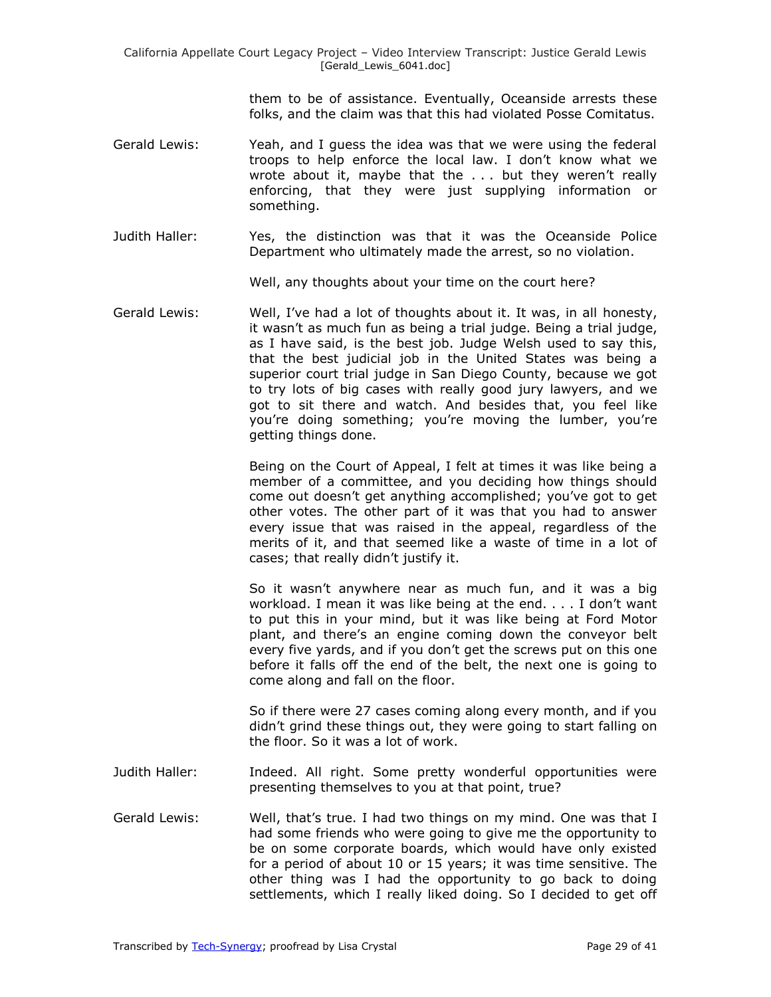them to be of assistance. Eventually, Oceanside arrests these folks, and the claim was that this had violated Posse Comitatus.

- Gerald Lewis: Yeah, and I guess the idea was that we were using the federal troops to help enforce the local law. I don't know what we wrote about it, maybe that the . . . but they weren't really enforcing, that they were just supplying information or something.
- Judith Haller: Yes, the distinction was that it was the Oceanside Police Department who ultimately made the arrest, so no violation.

Well, any thoughts about your time on the court here?

Gerald Lewis: Well, I've had a lot of thoughts about it. It was, in all honesty, it wasn't as much fun as being a trial judge. Being a trial judge, as I have said, is the best job. Judge Welsh used to say this, that the best judicial job in the United States was being a superior court trial judge in San Diego County, because we got to try lots of big cases with really good jury lawyers, and we got to sit there and watch. And besides that, you feel like you're doing something; you're moving the lumber, you're getting things done.

> Being on the Court of Appeal, I felt at times it was like being a member of a committee, and you deciding how things should come out doesn't get anything accomplished; you've got to get other votes. The other part of it was that you had to answer every issue that was raised in the appeal, regardless of the merits of it, and that seemed like a waste of time in a lot of cases; that really didn't justify it.

> So it wasn't anywhere near as much fun, and it was a big workload. I mean it was like being at the end. . . . I don't want to put this in your mind, but it was like being at Ford Motor plant, and there's an engine coming down the conveyor belt every five yards, and if you don't get the screws put on this one before it falls off the end of the belt, the next one is going to come along and fall on the floor.

> So if there were 27 cases coming along every month, and if you didn't grind these things out, they were going to start falling on the floor. So it was a lot of work.

- Judith Haller: Indeed. All right. Some pretty wonderful opportunities were presenting themselves to you at that point, true?
- Gerald Lewis: Well, that's true. I had two things on my mind. One was that I had some friends who were going to give me the opportunity to be on some corporate boards, which would have only existed for a period of about 10 or 15 years; it was time sensitive. The other thing was I had the opportunity to go back to doing settlements, which I really liked doing. So I decided to get off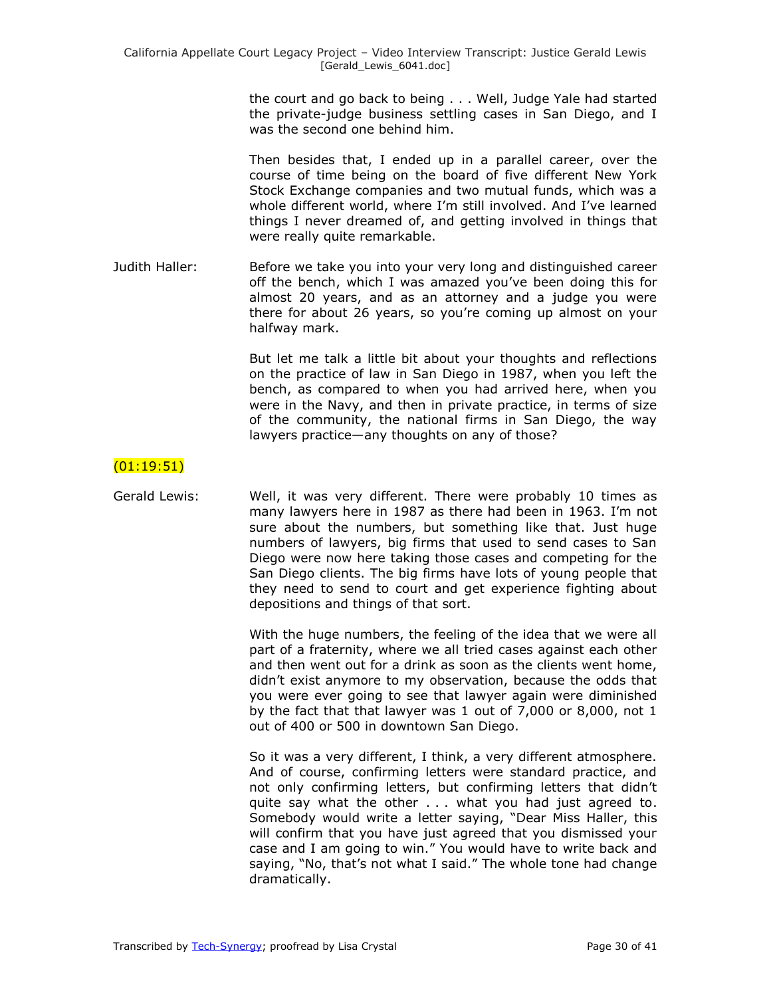the court and go back to being . . . Well, Judge Yale had started the private-judge business settling cases in San Diego, and I was the second one behind him.

Then besides that, I ended up in a parallel career, over the course of time being on the board of five different New York Stock Exchange companies and two mutual funds, which was a whole different world, where I'm still involved. And I've learned things I never dreamed of, and getting involved in things that were really quite remarkable.

Judith Haller: Before we take you into your very long and distinguished career off the bench, which I was amazed you've been doing this for almost 20 years, and as an attorney and a judge you were there for about 26 years, so you're coming up almost on your halfway mark.

> But let me talk a little bit about your thoughts and reflections on the practice of law in San Diego in 1987, when you left the bench, as compared to when you had arrived here, when you were in the Navy, and then in private practice, in terms of size of the community, the national firms in San Diego, the way lawyers practice—any thoughts on any of those?

## (01:19:51)

Gerald Lewis: Well, it was very different. There were probably 10 times as many lawyers here in 1987 as there had been in 1963. I'm not sure about the numbers, but something like that. Just huge numbers of lawyers, big firms that used to send cases to San Diego were now here taking those cases and competing for the San Diego clients. The big firms have lots of young people that they need to send to court and get experience fighting about depositions and things of that sort.

> With the huge numbers, the feeling of the idea that we were all part of a fraternity, where we all tried cases against each other and then went out for a drink as soon as the clients went home, didn't exist anymore to my observation, because the odds that you were ever going to see that lawyer again were diminished by the fact that that lawyer was 1 out of 7,000 or 8,000, not 1 out of 400 or 500 in downtown San Diego.

> So it was a very different, I think, a very different atmosphere. And of course, confirming letters were standard practice, and not only confirming letters, but confirming letters that didn't quite say what the other . . . what you had just agreed to. Somebody would write a letter saying, "Dear Miss Haller, this will confirm that you have just agreed that you dismissed your case and I am going to win." You would have to write back and saying, "No, that's not what I said." The whole tone had change dramatically.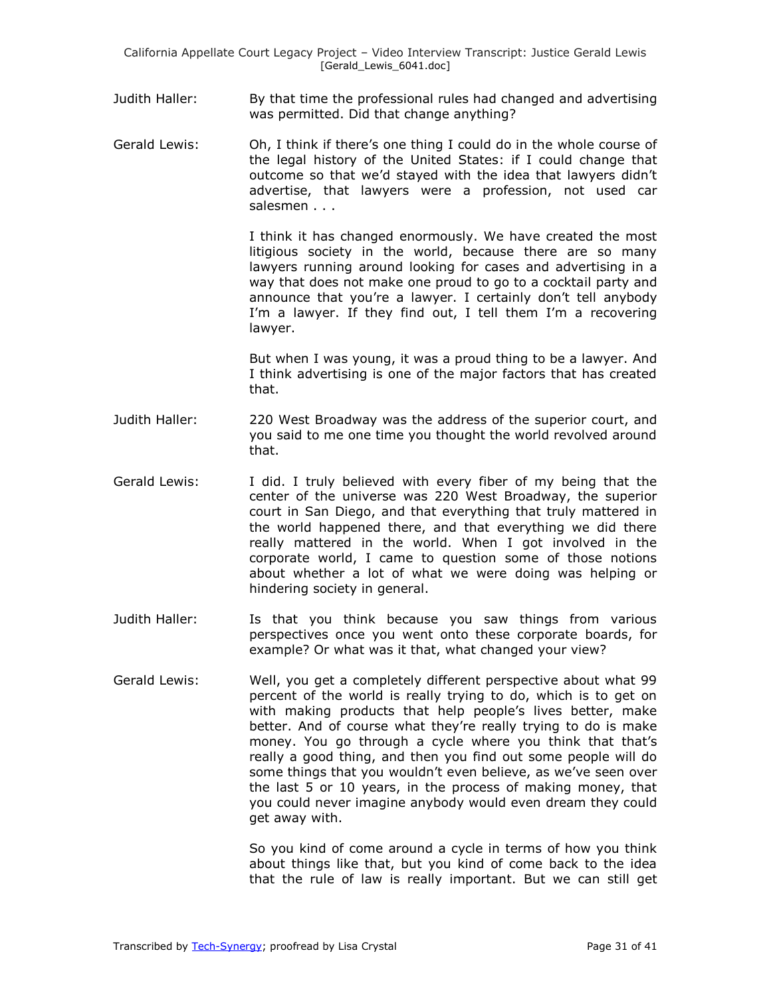- Judith Haller: By that time the professional rules had changed and advertising was permitted. Did that change anything?
- Gerald Lewis: Oh, I think if there's one thing I could do in the whole course of the legal history of the United States: if I could change that outcome so that we'd stayed with the idea that lawyers didn't advertise, that lawyers were a profession, not used car salesmen . . .

I think it has changed enormously. We have created the most litigious society in the world, because there are so many lawyers running around looking for cases and advertising in a way that does not make one proud to go to a cocktail party and announce that you're a lawyer. I certainly don't tell anybody I'm a lawyer. If they find out, I tell them I'm a recovering lawyer.

But when I was young, it was a proud thing to be a lawyer. And I think advertising is one of the major factors that has created that.

- Judith Haller: 220 West Broadway was the address of the superior court, and you said to me one time you thought the world revolved around that.
- Gerald Lewis: I did. I truly believed with every fiber of my being that the center of the universe was 220 West Broadway, the superior court in San Diego, and that everything that truly mattered in the world happened there, and that everything we did there really mattered in the world. When I got involved in the corporate world, I came to question some of those notions about whether a lot of what we were doing was helping or hindering society in general.
- Judith Haller: Is that you think because you saw things from various perspectives once you went onto these corporate boards, for example? Or what was it that, what changed your view?
- Gerald Lewis: Well, you get a completely different perspective about what 99 percent of the world is really trying to do, which is to get on with making products that help people's lives better, make better. And of course what they're really trying to do is make money. You go through a cycle where you think that that's really a good thing, and then you find out some people will do some things that you wouldn't even believe, as we've seen over the last 5 or 10 years, in the process of making money, that you could never imagine anybody would even dream they could get away with.

So you kind of come around a cycle in terms of how you think about things like that, but you kind of come back to the idea that the rule of law is really important. But we can still get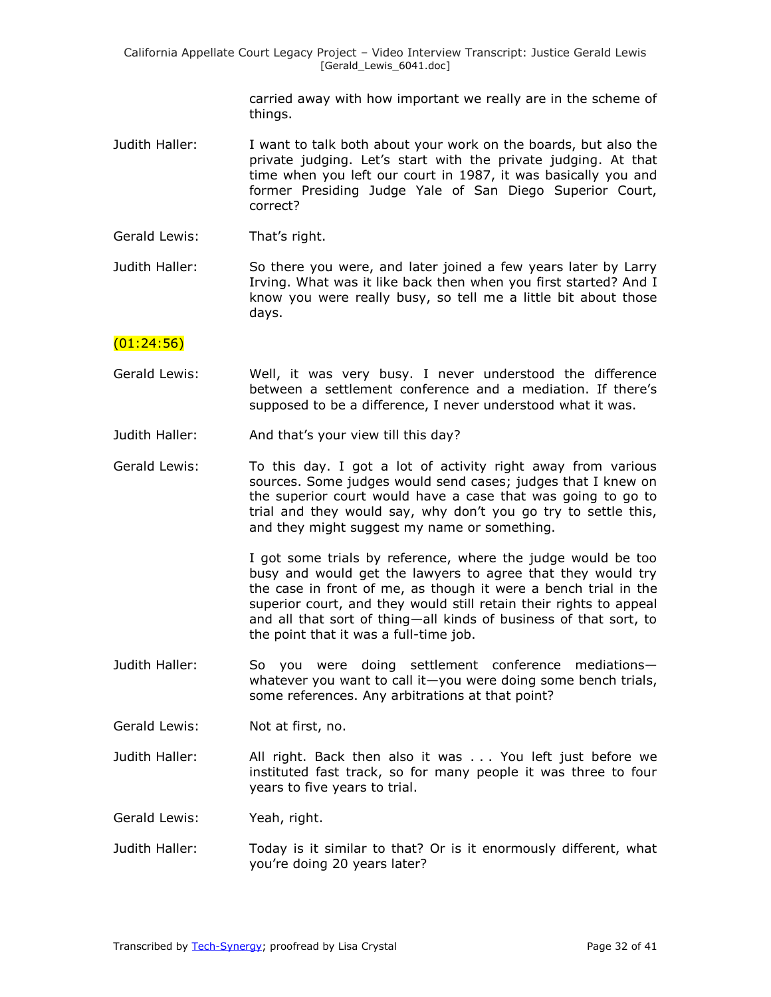California Appellate Court Legacy Project – Video Interview Transcript: Justice Gerald Lewis [Gerald Lewis 6041.doc]

> carried away with how important we really are in the scheme of things.

- Judith Haller: I want to talk both about your work on the boards, but also the private judging. Let's start with the private judging. At that time when you left our court in 1987, it was basically you and former Presiding Judge Yale of San Diego Superior Court, correct?
- Gerald Lewis: That's right.
- Judith Haller: So there you were, and later joined a few years later by Larry Irving. What was it like back then when you first started? And I know you were really busy, so tell me a little bit about those days.

#### $(01:24:56)$

- Gerald Lewis: Well, it was very busy. I never understood the difference between a settlement conference and a mediation. If there's supposed to be a difference, I never understood what it was.
- Judith Haller: And that's your view till this day?
- Gerald Lewis: To this day. I got a lot of activity right away from various sources. Some judges would send cases; judges that I knew on the superior court would have a case that was going to go to trial and they would say, why don't you go try to settle this, and they might suggest my name or something.

I got some trials by reference, where the judge would be too busy and would get the lawyers to agree that they would try the case in front of me, as though it were a bench trial in the superior court, and they would still retain their rights to appeal and all that sort of thing—all kinds of business of that sort, to the point that it was a full-time job.

Judith Haller: So you were doing settlement conference mediations whatever you want to call it—you were doing some bench trials, some references. Any arbitrations at that point?

Gerald Lewis: Not at first, no.

Judith Haller: All right. Back then also it was . . . You left just before we instituted fast track, so for many people it was three to four years to five years to trial.

Gerald Lewis: Yeah, right.

Judith Haller: Today is it similar to that? Or is it enormously different, what you're doing 20 years later?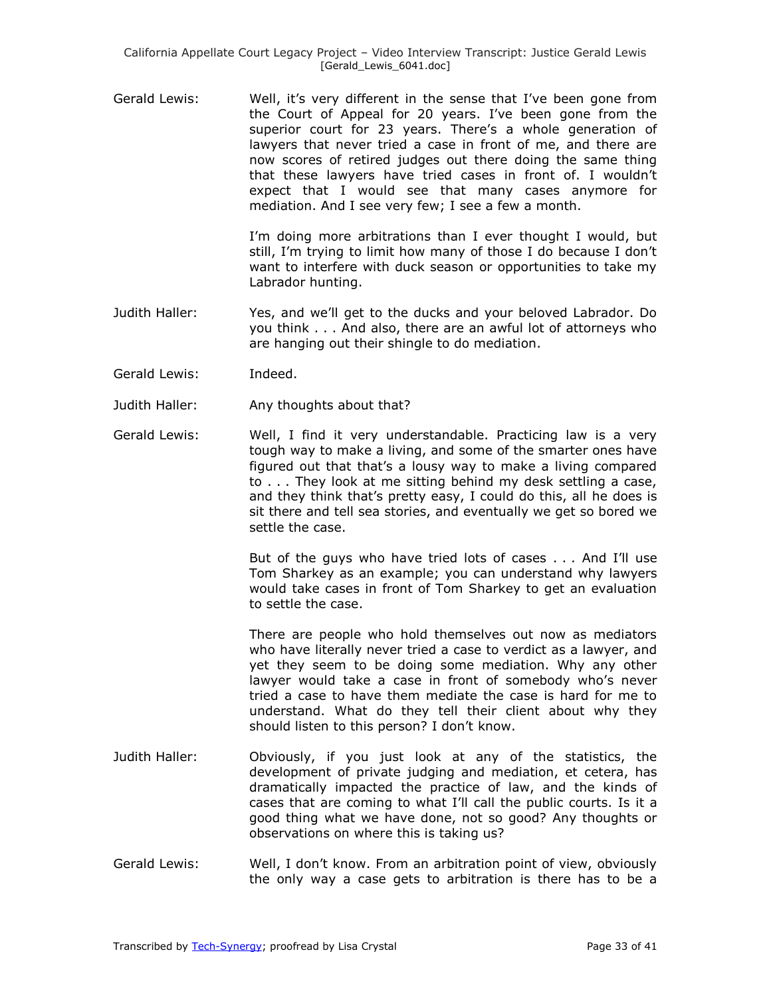Gerald Lewis: Well, it's very different in the sense that I've been gone from the Court of Appeal for 20 years. I've been gone from the superior court for 23 years. There's a whole generation of lawyers that never tried a case in front of me, and there are now scores of retired judges out there doing the same thing that these lawyers have tried cases in front of. I wouldn't expect that I would see that many cases anymore for mediation. And I see very few; I see a few a month.

> I'm doing more arbitrations than I ever thought I would, but still, I'm trying to limit how many of those I do because I don't want to interfere with duck season or opportunities to take my Labrador hunting.

- Judith Haller: Yes, and we'll get to the ducks and your beloved Labrador. Do you think . . . And also, there are an awful lot of attorneys who are hanging out their shingle to do mediation.
- Gerald Lewis: Indeed.
- Judith Haller: Any thoughts about that?
- Gerald Lewis: Well, I find it very understandable. Practicing law is a very tough way to make a living, and some of the smarter ones have figured out that that's a lousy way to make a living compared to . . . They look at me sitting behind my desk settling a case, and they think that's pretty easy, I could do this, all he does is sit there and tell sea stories, and eventually we get so bored we settle the case.

But of the guys who have tried lots of cases . . . And I'll use Tom Sharkey as an example; you can understand why lawyers would take cases in front of Tom Sharkey to get an evaluation to settle the case.

There are people who hold themselves out now as mediators who have literally never tried a case to verdict as a lawyer, and yet they seem to be doing some mediation. Why any other lawyer would take a case in front of somebody who's never tried a case to have them mediate the case is hard for me to understand. What do they tell their client about why they should listen to this person? I don't know.

- Judith Haller: Obviously, if you just look at any of the statistics, the development of private judging and mediation, et cetera, has dramatically impacted the practice of law, and the kinds of cases that are coming to what I'll call the public courts. Is it a good thing what we have done, not so good? Any thoughts or observations on where this is taking us?
- Gerald Lewis: Well, I don't know. From an arbitration point of view, obviously the only way a case gets to arbitration is there has to be a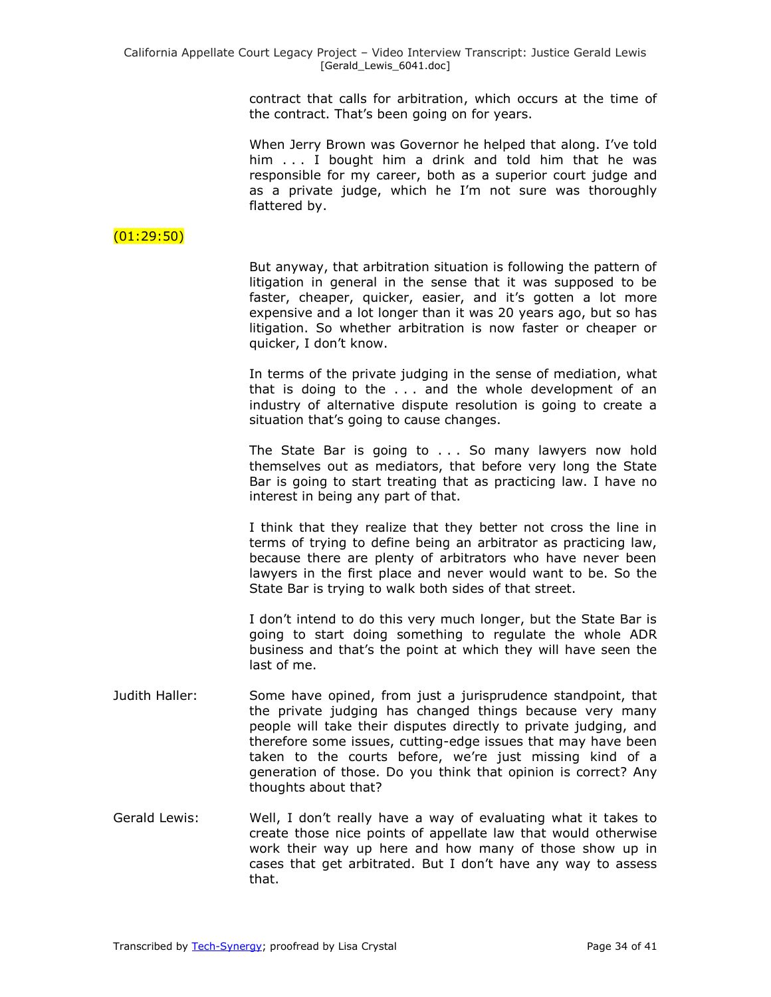contract that calls for arbitration, which occurs at the time of the contract. That's been going on for years.

When Jerry Brown was Governor he helped that along. I've told him . . . I bought him a drink and told him that he was responsible for my career, both as a superior court judge and as a private judge, which he I'm not sure was thoroughly flattered by.

## (01:29:50)

But anyway, that arbitration situation is following the pattern of litigation in general in the sense that it was supposed to be faster, cheaper, quicker, easier, and it's gotten a lot more expensive and a lot longer than it was 20 years ago, but so has litigation. So whether arbitration is now faster or cheaper or quicker, I don't know.

In terms of the private judging in the sense of mediation, what that is doing to the . . . and the whole development of an industry of alternative dispute resolution is going to create a situation that's going to cause changes.

The State Bar is going to . . . So many lawyers now hold themselves out as mediators, that before very long the State Bar is going to start treating that as practicing law. I have no interest in being any part of that.

I think that they realize that they better not cross the line in terms of trying to define being an arbitrator as practicing law, because there are plenty of arbitrators who have never been lawyers in the first place and never would want to be. So the State Bar is trying to walk both sides of that street.

I don't intend to do this very much longer, but the State Bar is going to start doing something to regulate the whole ADR business and that's the point at which they will have seen the last of me.

- Judith Haller: Some have opined, from just a jurisprudence standpoint, that the private judging has changed things because very many people will take their disputes directly to private judging, and therefore some issues, cutting-edge issues that may have been taken to the courts before, we're just missing kind of a generation of those. Do you think that opinion is correct? Any thoughts about that?
- Gerald Lewis: Well, I don't really have a way of evaluating what it takes to create those nice points of appellate law that would otherwise work their way up here and how many of those show up in cases that get arbitrated. But I don't have any way to assess that.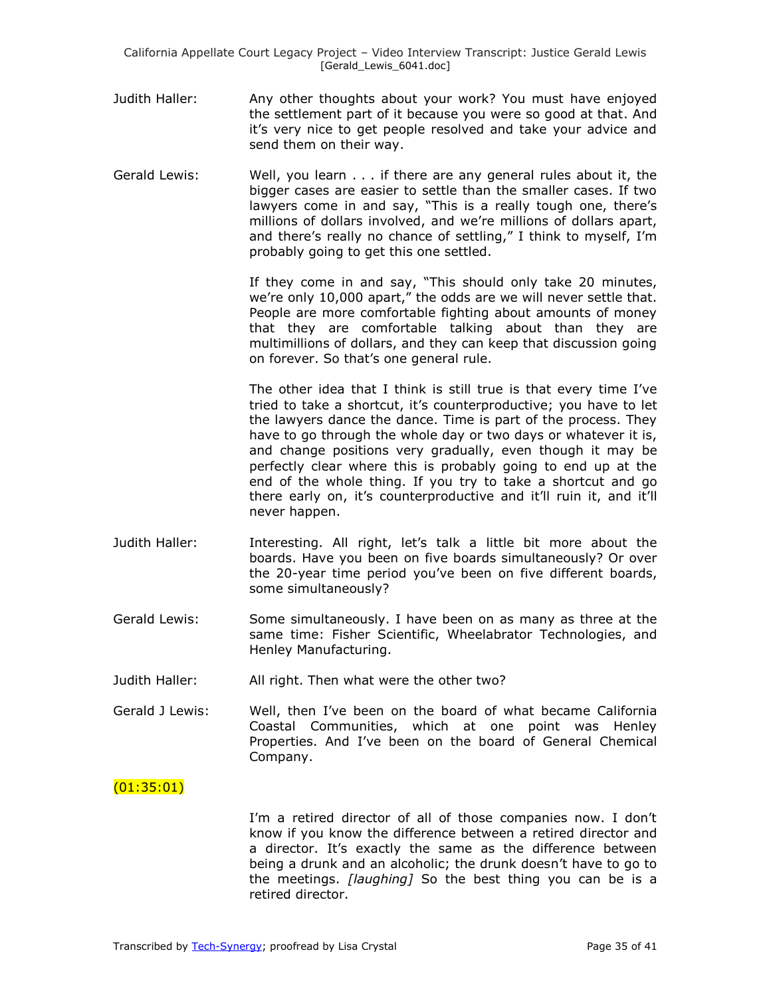- Judith Haller: Any other thoughts about your work? You must have enjoyed the settlement part of it because you were so good at that. And it's very nice to get people resolved and take your advice and send them on their way.
- Gerald Lewis: Well, you learn . . . if there are any general rules about it, the bigger cases are easier to settle than the smaller cases. If two lawyers come in and say, "This is a really tough one, there's millions of dollars involved, and we're millions of dollars apart, and there's really no chance of settling," I think to myself, I'm probably going to get this one settled.

If they come in and say, "This should only take 20 minutes, we're only 10,000 apart," the odds are we will never settle that. People are more comfortable fighting about amounts of money that they are comfortable talking about than they are multimillions of dollars, and they can keep that discussion going on forever. So that's one general rule.

The other idea that I think is still true is that every time I've tried to take a shortcut, it's counterproductive; you have to let the lawyers dance the dance. Time is part of the process. They have to go through the whole day or two days or whatever it is, and change positions very gradually, even though it may be perfectly clear where this is probably going to end up at the end of the whole thing. If you try to take a shortcut and go there early on, it's counterproductive and it'll ruin it, and it'll never happen.

- Judith Haller: Interesting. All right, let's talk a little bit more about the boards. Have you been on five boards simultaneously? Or over the 20-year time period you've been on five different boards, some simultaneously?
- Gerald Lewis: Some simultaneously. I have been on as many as three at the same time: Fisher Scientific, Wheelabrator Technologies, and Henley Manufacturing.
- Judith Haller: All right. Then what were the other two?
- Gerald J Lewis: Well, then I've been on the board of what became California Coastal Communities, which at one point was Henley Properties. And I've been on the board of General Chemical Company.

## (01:35:01)

I'm a retired director of all of those companies now. I don't know if you know the difference between a retired director and a director. It's exactly the same as the difference between being a drunk and an alcoholic; the drunk doesn't have to go to the meetings. *[laughing]* So the best thing you can be is a retired director.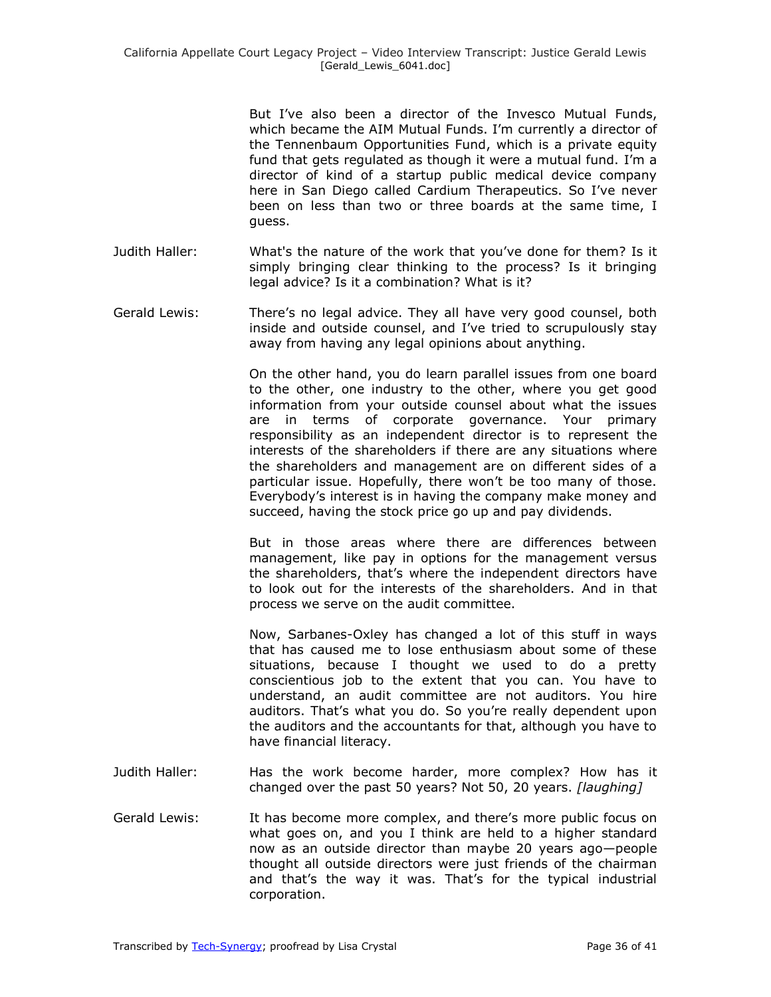But I've also been a director of the Invesco Mutual Funds, which became the AIM Mutual Funds. I'm currently a director of the Tennenbaum Opportunities Fund, which is a private equity fund that gets regulated as though it were a mutual fund. I'm a director of kind of a startup public medical device company here in San Diego called Cardium Therapeutics. So I've never been on less than two or three boards at the same time, I guess.

- Judith Haller: What's the nature of the work that you've done for them? Is it simply bringing clear thinking to the process? Is it bringing legal advice? Is it a combination? What is it?
- Gerald Lewis: There's no legal advice. They all have very good counsel, both inside and outside counsel, and I've tried to scrupulously stay away from having any legal opinions about anything.

On the other hand, you do learn parallel issues from one board to the other, one industry to the other, where you get good information from your outside counsel about what the issues are in terms of corporate governance. Your primary responsibility as an independent director is to represent the interests of the shareholders if there are any situations where the shareholders and management are on different sides of a particular issue. Hopefully, there won't be too many of those. Everybody's interest is in having the company make money and succeed, having the stock price go up and pay dividends.

But in those areas where there are differences between management, like pay in options for the management versus the shareholders, that's where the independent directors have to look out for the interests of the shareholders. And in that process we serve on the audit committee.

Now, Sarbanes-Oxley has changed a lot of this stuff in ways that has caused me to lose enthusiasm about some of these situations, because I thought we used to do a pretty conscientious job to the extent that you can. You have to understand, an audit committee are not auditors. You hire auditors. That's what you do. So you're really dependent upon the auditors and the accountants for that, although you have to have financial literacy.

- Judith Haller: Has the work become harder, more complex? How has it changed over the past 50 years? Not 50, 20 years. *[laughing]*
- Gerald Lewis: It has become more complex, and there's more public focus on what goes on, and you I think are held to a higher standard now as an outside director than maybe 20 years ago—people thought all outside directors were just friends of the chairman and that's the way it was. That's for the typical industrial corporation.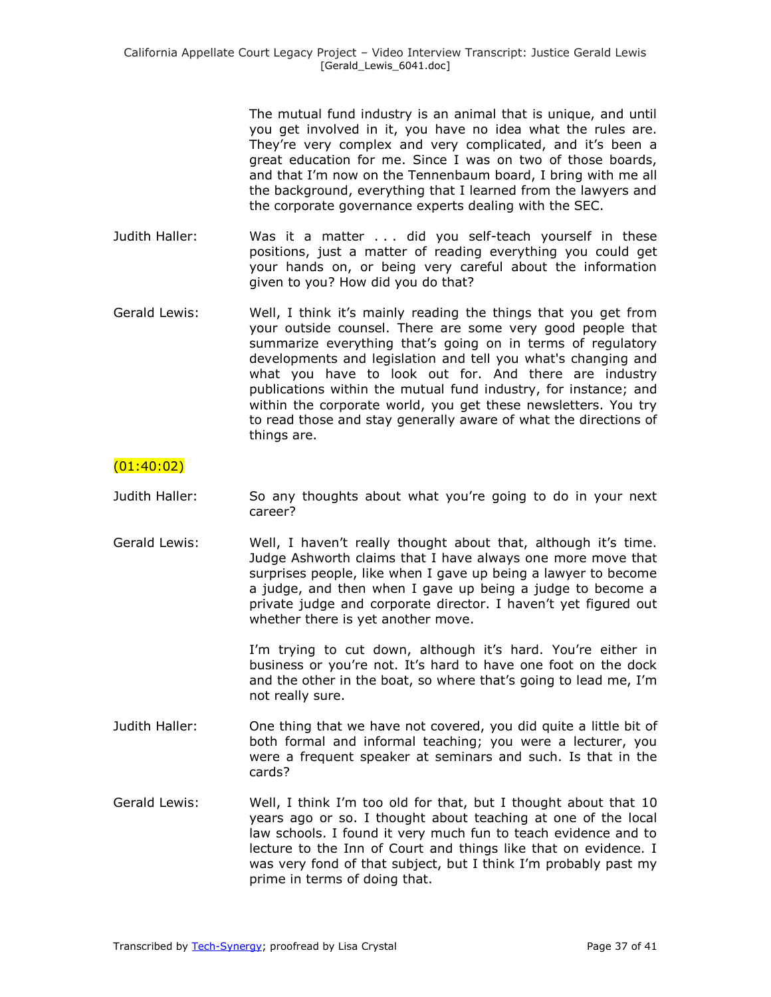The mutual fund industry is an animal that is unique, and until you get involved in it, you have no idea what the rules are. They're very complex and very complicated, and it's been a great education for me. Since I was on two of those boards, and that I'm now on the Tennenbaum board, I bring with me all the background, everything that I learned from the lawyers and the corporate governance experts dealing with the SEC.

- Judith Haller: Was it a matter . . . did you self-teach yourself in these positions, just a matter of reading everything you could get your hands on, or being very careful about the information given to you? How did you do that?
- Gerald Lewis: Well, I think it's mainly reading the things that you get from your outside counsel. There are some very good people that summarize everything that's going on in terms of regulatory developments and legislation and tell you what's changing and what you have to look out for. And there are industry publications within the mutual fund industry, for instance; and within the corporate world, you get these newsletters. You try to read those and stay generally aware of what the directions of things are.

## $(01:40:02)$

- Judith Haller: So any thoughts about what you're going to do in your next career?
- Gerald Lewis: Well, I haven't really thought about that, although it's time. Judge Ashworth claims that I have always one more move that surprises people, like when I gave up being a lawyer to become a judge, and then when I gave up being a judge to become a private judge and corporate director. I haven't yet figured out whether there is yet another move.

I'm trying to cut down, although it's hard. You're either in business or you're not. It's hard to have one foot on the dock and the other in the boat, so where that's going to lead me, I'm not really sure.

- Judith Haller: One thing that we have not covered, you did quite a little bit of both formal and informal teaching; you were a lecturer, you were a frequent speaker at seminars and such. Is that in the cards?
- Gerald Lewis: Well, I think I'm too old for that, but I thought about that 10 years ago or so. I thought about teaching at one of the local law schools. I found it very much fun to teach evidence and to lecture to the Inn of Court and things like that on evidence. I was very fond of that subject, but I think I'm probably past my prime in terms of doing that.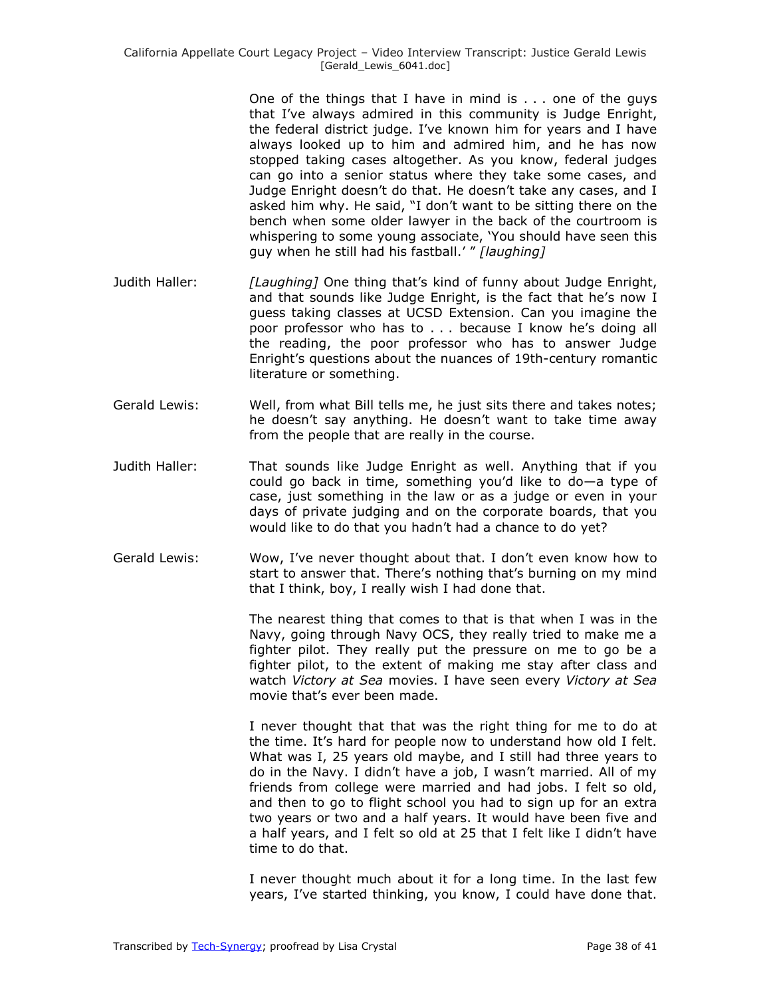One of the things that I have in mind is . . . one of the guys that I've always admired in this community is Judge Enright, the federal district judge. I've known him for years and I have always looked up to him and admired him, and he has now stopped taking cases altogether. As you know, federal judges can go into a senior status where they take some cases, and Judge Enright doesn't do that. He doesn't take any cases, and I asked him why. He said, "I don't want to be sitting there on the bench when some older lawyer in the back of the courtroom is whispering to some young associate, 'You should have seen this guy when he still had his fastball.' " [laughing]

- Judith Haller: *[Laughing]* One thing that's kind of funny about Judge Enright, and that sounds like Judge Enright, is the fact that he's now I guess taking classes at UCSD Extension. Can you imagine the poor professor who has to . . . because I know he's doing all the reading, the poor professor who has to answer Judge Enright's questions about the nuances of 19th-century romantic literature or something.
- Gerald Lewis: Well, from what Bill tells me, he just sits there and takes notes; he doesn't say anything. He doesn't want to take time away from the people that are really in the course.
- Judith Haller: That sounds like Judge Enright as well. Anything that if you could go back in time, something you'd like to do—a type of case, just something in the law or as a judge or even in your days of private judging and on the corporate boards, that you would like to do that you hadn't had a chance to do yet?
- Gerald Lewis: Wow, I've never thought about that. I don't even know how to start to answer that. There's nothing that's burning on my mind that I think, boy, I really wish I had done that.

The nearest thing that comes to that is that when I was in the Navy, going through Navy OCS, they really tried to make me a fighter pilot. They really put the pressure on me to go be a fighter pilot, to the extent of making me stay after class and watch *Victory at Sea* movies. I have seen every *Victory at Sea* movie that's ever been made.

I never thought that that was the right thing for me to do at the time. It's hard for people now to understand how old I felt. What was I, 25 years old maybe, and I still had three years to do in the Navy. I didn't have a job, I wasn't married. All of my friends from college were married and had jobs. I felt so old, and then to go to flight school you had to sign up for an extra two years or two and a half years. It would have been five and a half years, and I felt so old at 25 that I felt like I didn't have time to do that.

I never thought much about it for a long time. In the last few years, I've started thinking, you know, I could have done that.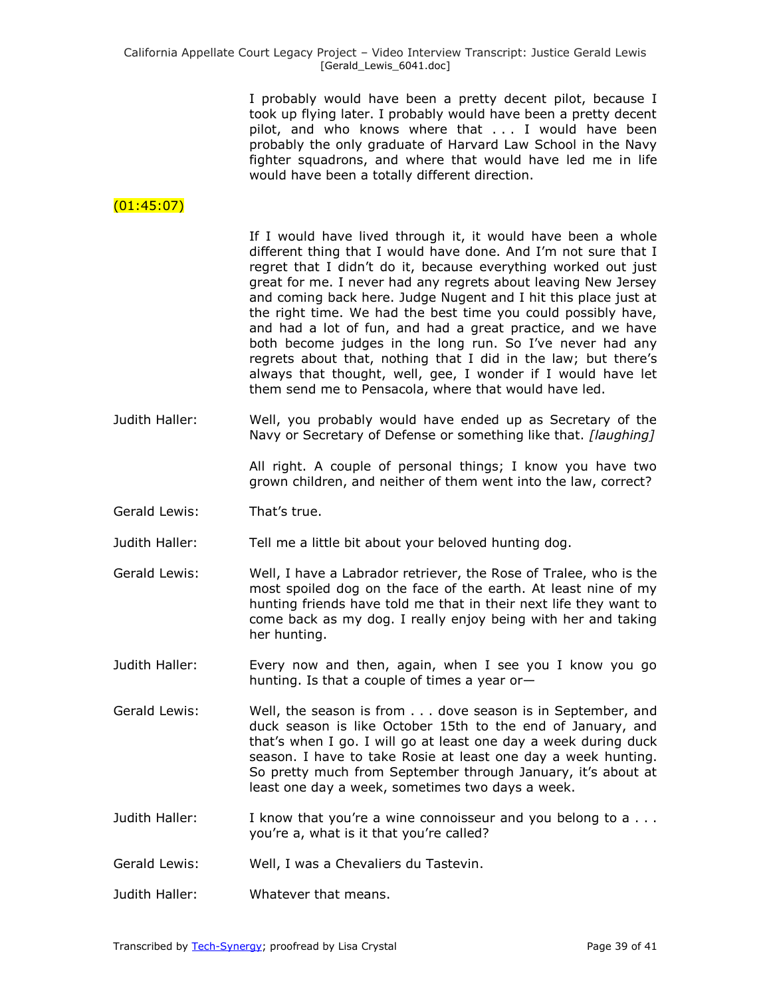I probably would have been a pretty decent pilot, because I took up flying later. I probably would have been a pretty decent pilot, and who knows where that . . . I would have been probably the only graduate of Harvard Law School in the Navy fighter squadrons, and where that would have led me in life would have been a totally different direction.

# (01:45:07)

If I would have lived through it, it would have been a whole different thing that I would have done. And I'm not sure that I regret that I didn't do it, because everything worked out just great for me. I never had any regrets about leaving New Jersey and coming back here. Judge Nugent and I hit this place just at the right time. We had the best time you could possibly have, and had a lot of fun, and had a great practice, and we have both become judges in the long run. So I've never had any regrets about that, nothing that I did in the law; but there's always that thought, well, gee, I wonder if I would have let them send me to Pensacola, where that would have led.

Judith Haller: Well, you probably would have ended up as Secretary of the Navy or Secretary of Defense or something like that. *[laughing]* 

> All right. A couple of personal things; I know you have two grown children, and neither of them went into the law, correct?

Gerald Lewis: That's true.

Judith Haller: Tell me a little bit about your beloved hunting dog.

- Gerald Lewis: Well, I have a Labrador retriever, the Rose of Tralee, who is the most spoiled dog on the face of the earth. At least nine of my hunting friends have told me that in their next life they want to come back as my dog. I really enjoy being with her and taking her hunting.
- Judith Haller: Every now and then, again, when I see you I know you go hunting. Is that a couple of times a year or—
- Gerald Lewis: Well, the season is from . . . dove season is in September, and duck season is like October 15th to the end of January, and that's when I go. I will go at least one day a week during duck season. I have to take Rosie at least one day a week hunting. So pretty much from September through January, it's about at least one day a week, sometimes two days a week.
- Judith Haller: I know that you're a wine connoisseur and you belong to a . . . you're a, what is it that you're called?
- Gerald Lewis: Well, I was a Chevaliers du Tastevin.
- Judith Haller: Whatever that means.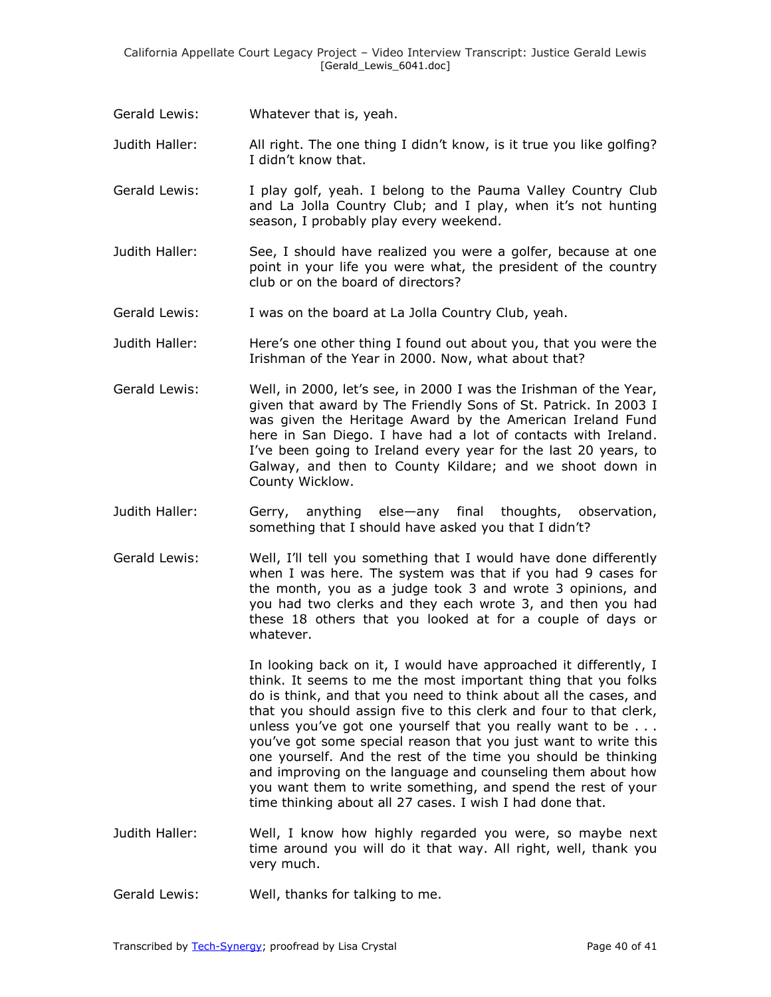Gerald Lewis: Whatever that is, yeah.

Judith Haller: All right. The one thing I didn't know, is it true you like golfing? I didn't know that.

- Gerald Lewis: I play golf, yeah. I belong to the Pauma Valley Country Club and La Jolla Country Club; and I play, when it's not hunting season, I probably play every weekend.
- Judith Haller: See, I should have realized you were a golfer, because at one point in your life you were what, the president of the country club or on the board of directors?
- Gerald Lewis: I was on the board at La Jolla Country Club, yeah.
- Judith Haller: Here's one other thing I found out about you, that you were the Irishman of the Year in 2000. Now, what about that?
- Gerald Lewis: Well, in 2000, let's see, in 2000 I was the Irishman of the Year, given that award by The Friendly Sons of St. Patrick. In 2003 I was given the Heritage Award by the American Ireland Fund here in San Diego. I have had a lot of contacts with Ireland. I've been going to Ireland every year for the last 20 years, to Galway, and then to County Kildare; and we shoot down in County Wicklow.
- Judith Haller: Gerry, anything else—any final thoughts, observation, something that I should have asked you that I didn't?
- Gerald Lewis: Well, I'll tell you something that I would have done differently when I was here. The system was that if you had 9 cases for the month, you as a judge took 3 and wrote 3 opinions, and you had two clerks and they each wrote 3, and then you had these 18 others that you looked at for a couple of days or whatever.

In looking back on it, I would have approached it differently, I think. It seems to me the most important thing that you folks do is think, and that you need to think about all the cases, and that you should assign five to this clerk and four to that clerk, unless you've got one yourself that you really want to be . . . you've got some special reason that you just want to write this one yourself. And the rest of the time you should be thinking and improving on the language and counseling them about how you want them to write something, and spend the rest of your time thinking about all 27 cases. I wish I had done that.

- Judith Haller: Well, I know how highly regarded you were, so maybe next time around you will do it that way. All right, well, thank you very much.
- Gerald Lewis: Well, thanks for talking to me.